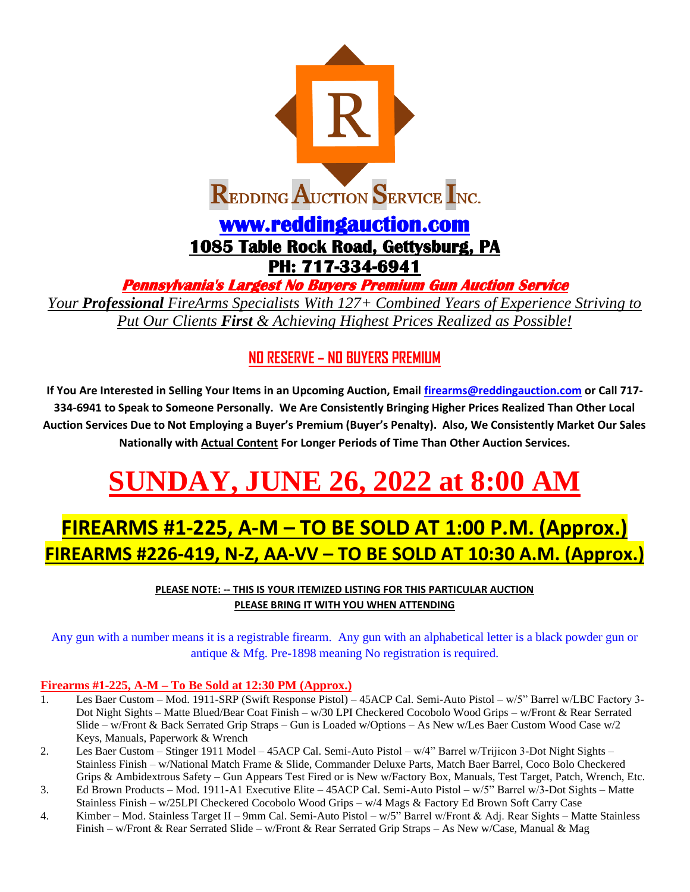

**Pennsylvania's Largest No Buyers Premium Gun Auction Service** 

*Your Professional FireArms Specialists With 127+ Combined Years of Experience Striving to Put Our Clients First & Achieving Highest Prices Realized as Possible!*

## **NO RESERVE – NO BUYERS PREMIUM**

**If You Are Interested in Selling Your Items in an Upcoming Auction, Email [firearms@reddingauction.com](mailto:firearms@reddingauction.com) or Call 717- 334-6941 to Speak to Someone Personally. We Are Consistently Bringing Higher Prices Realized Than Other Local Auction Services Due to Not Employing a Buyer's Premium (Buyer's Penalty). Also, We Consistently Market Our Sales Nationally with Actual Content For Longer Periods of Time Than Other Auction Services.**

# **SUNDAY, JUNE 26, 2022 at 8:00 AM**

# **FIREARMS #1-225, A-M – TO BE SOLD AT 1:00 P.M. (Approx.) FIREARMS #226-419, N-Z, AA-VV – TO BE SOLD AT 10:30 A.M. (Approx.)**

**PLEASE NOTE: -- THIS IS YOUR ITEMIZED LISTING FOR THIS PARTICULAR AUCTION PLEASE BRING IT WITH YOU WHEN ATTENDING**

Any gun with a number means it is a registrable firearm. Any gun with an alphabetical letter is a black powder gun or antique & Mfg. Pre-1898 meaning No registration is required.

#### **Firearms #1-225, A-M – To Be Sold at 12:30 PM (Approx.)**

- 1. Les Baer Custom Mod. 1911-SRP (Swift Response Pistol) 45ACP Cal. Semi-Auto Pistol w/5" Barrel w/LBC Factory 3- Dot Night Sights – Matte Blued/Bear Coat Finish – w/30 LPI Checkered Cocobolo Wood Grips – w/Front & Rear Serrated Slide – w/Front & Back Serrated Grip Straps – Gun is Loaded w/Options – As New w/Les Baer Custom Wood Case w/2 Keys, Manuals, Paperwork & Wrench
- 2. Les Baer Custom Stinger 1911 Model 45ACP Cal. Semi-Auto Pistol w/4" Barrel w/Trijicon 3-Dot Night Sights Stainless Finish – w/National Match Frame & Slide, Commander Deluxe Parts, Match Baer Barrel, Coco Bolo Checkered Grips & Ambidextrous Safety – Gun Appears Test Fired or is New w/Factory Box, Manuals, Test Target, Patch, Wrench, Etc.
- 3. Ed Brown Products Mod. 1911-A1 Executive Elite 45ACP Cal. Semi-Auto Pistol w/5" Barrel w/3-Dot Sights Matte Stainless Finish – w/25LPI Checkered Cocobolo Wood Grips – w/4 Mags & Factory Ed Brown Soft Carry Case
- 4. Kimber Mod. Stainless Target II 9mm Cal. Semi-Auto Pistol w/5" Barrel w/Front & Adj. Rear Sights Matte Stainless Finish – w/Front & Rear Serrated Slide – w/Front & Rear Serrated Grip Straps – As New w/Case, Manual & Mag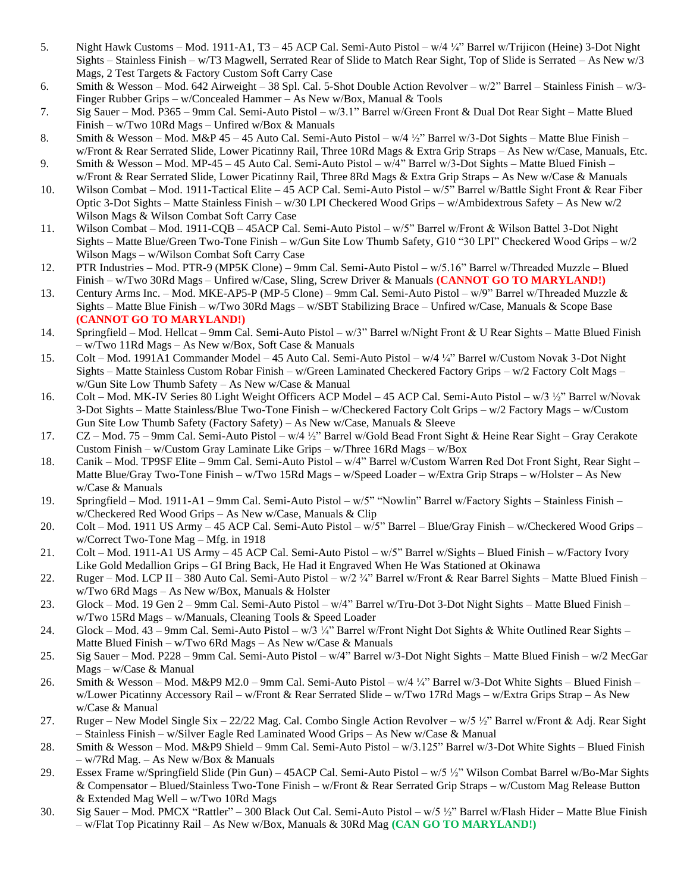- 5. Night Hawk Customs Mod. 1911-A1, T3 45 ACP Cal. Semi-Auto Pistol w/4 ¼" Barrel w/Trijicon (Heine) 3-Dot Night Sights – Stainless Finish – w/T3 Magwell, Serrated Rear of Slide to Match Rear Sight, Top of Slide is Serrated – As New w/3 Mags, 2 Test Targets & Factory Custom Soft Carry Case
- 6. Smith & Wesson Mod. 642 Airweight 38 Spl. Cal. 5-Shot Double Action Revolver w/2" Barrel Stainless Finish w/3- Finger Rubber Grips – w/Concealed Hammer – As New w/Box, Manual & Tools
- 7. Sig Sauer Mod. P365 9mm Cal. Semi-Auto Pistol w/3.1" Barrel w/Green Front & Dual Dot Rear Sight Matte Blued Finish – w/Two 10Rd Mags – Unfired w/Box & Manuals
- 8. Smith & Wesson Mod. M&P 45 45 Auto Cal. Semi-Auto Pistol w/4 ½" Barrel w/3-Dot Sights Matte Blue Finish w/Front & Rear Serrated Slide, Lower Picatinny Rail, Three 10Rd Mags & Extra Grip Straps – As New w/Case, Manuals, Etc.
- 9. Smith & Wesson Mod. MP-45 45 Auto Cal. Semi-Auto Pistol w/4" Barrel w/3-Dot Sights Matte Blued Finish w/Front & Rear Serrated Slide, Lower Picatinny Rail, Three 8Rd Mags & Extra Grip Straps – As New w/Case & Manuals
- 10. Wilson Combat Mod. 1911-Tactical Elite 45 ACP Cal. Semi-Auto Pistol w/5" Barrel w/Battle Sight Front & Rear Fiber Optic 3-Dot Sights – Matte Stainless Finish – w/30 LPI Checkered Wood Grips – w/Ambidextrous Safety – As New w/2 Wilson Mags & Wilson Combat Soft Carry Case
- 11. Wilson Combat Mod. 1911-CQB 45ACP Cal. Semi-Auto Pistol w/5" Barrel w/Front & Wilson Battel 3-Dot Night Sights – Matte Blue/Green Two-Tone Finish – w/Gun Site Low Thumb Safety, G10 "30 LPI" Checkered Wood Grips – w/2 Wilson Mags – w/Wilson Combat Soft Carry Case
- 12. PTR Industries Mod. PTR-9 (MP5K Clone) 9mm Cal. Semi-Auto Pistol w/5.16" Barrel w/Threaded Muzzle Blued Finish – w/Two 30Rd Mags – Unfired w/Case, Sling, Screw Driver & Manuals **(CANNOT GO TO MARYLAND!)**
- 13. Century Arms Inc. Mod. MKE-AP5-P (MP-5 Clone) 9mm Cal. Semi-Auto Pistol w/9" Barrel w/Threaded Muzzle & Sights – Matte Blue Finish – w/Two 30Rd Mags – w/SBT Stabilizing Brace – Unfired w/Case, Manuals & Scope Base **(CANNOT GO TO MARYLAND!)**
- 14. Springfield Mod. Hellcat 9mm Cal. Semi-Auto Pistol w/3" Barrel w/Night Front & U Rear Sights Matte Blued Finish – w/Two 11Rd Mags – As New w/Box, Soft Case & Manuals
- 15. Colt Mod. 1991A1 Commander Model 45 Auto Cal. Semi-Auto Pistol w/4 ¼" Barrel w/Custom Novak 3-Dot Night Sights – Matte Stainless Custom Robar Finish – w/Green Laminated Checkered Factory Grips – w/2 Factory Colt Mags – w/Gun Site Low Thumb Safety – As New w/Case & Manual
- 16. Colt Mod. MK-IV Series 80 Light Weight Officers ACP Model 45 ACP Cal. Semi-Auto Pistol w/3 ½" Barrel w/Novak 3-Dot Sights – Matte Stainless/Blue Two-Tone Finish – w/Checkered Factory Colt Grips – w/2 Factory Mags – w/Custom Gun Site Low Thumb Safety (Factory Safety) – As New w/Case, Manuals & Sleeve
- 17. CZ Mod. 75 9mm Cal. Semi-Auto Pistol w/4 ½" Barrel w/Gold Bead Front Sight & Heine Rear Sight Gray Cerakote Custom Finish – w/Custom Gray Laminate Like Grips – w/Three 16Rd Mags – w/Box
- 18. Canik Mod. TP9SF Elite 9mm Cal. Semi-Auto Pistol w/4" Barrel w/Custom Warren Red Dot Front Sight, Rear Sight Matte Blue/Gray Two-Tone Finish – w/Two 15Rd Mags – w/Speed Loader – w/Extra Grip Straps – w/Holster – As New w/Case & Manuals
- 19. Springfield Mod. 1911-A1 9mm Cal. Semi-Auto Pistol w/5" "Nowlin" Barrel w/Factory Sights Stainless Finish w/Checkered Red Wood Grips – As New w/Case, Manuals & Clip
- 20. Colt Mod. 1911 US Army 45 ACP Cal. Semi-Auto Pistol w/5" Barrel Blue/Gray Finish w/Checkered Wood Grips w/Correct Two-Tone Mag – Mfg. in 1918
- 21. Colt Mod. 1911-A1 US Army 45 ACP Cal. Semi-Auto Pistol w/5" Barrel w/Sights Blued Finish w/Factory Ivory Like Gold Medallion Grips – GI Bring Back, He Had it Engraved When He Was Stationed at Okinawa
- 22. Ruger Mod. LCP II 380 Auto Cal. Semi-Auto Pistol w/2  $\frac{3}{4}$ " Barrel w/Front & Rear Barrel Sights Matte Blued Finish w/Two 6Rd Mags – As New w/Box, Manuals & Holster
- 23. Glock Mod. 19 Gen 2 9mm Cal. Semi-Auto Pistol w/4" Barrel w/Tru-Dot 3-Dot Night Sights Matte Blued Finish w/Two 15Rd Mags – w/Manuals, Cleaning Tools & Speed Loader
- 24. Glock Mod. 43 9mm Cal. Semi-Auto Pistol w/3 1/4" Barrel w/Front Night Dot Sights & White Outlined Rear Sights Matte Blued Finish – w/Two 6Rd Mags – As New w/Case & Manuals
- 25. Sig Sauer Mod. P228 9mm Cal. Semi-Auto Pistol w/4" Barrel w/3-Dot Night Sights Matte Blued Finish w/2 MecGar Mags – w/Case & Manual
- 26. Smith & Wesson Mod. M&P9 M2.0 9mm Cal. Semi-Auto Pistol w/4 ¼" Barrel w/3-Dot White Sights Blued Finish w/Lower Picatinny Accessory Rail – w/Front & Rear Serrated Slide – w/Two 17Rd Mags – w/Extra Grips Strap – As New w/Case & Manual
- 27. Ruger New Model Single Six 22/22 Mag. Cal. Combo Single Action Revolver w/5 ½" Barrel w/Front & Adj. Rear Sight – Stainless Finish – w/Silver Eagle Red Laminated Wood Grips – As New w/Case & Manual
- 28. Smith & Wesson Mod. M&P9 Shield 9mm Cal. Semi-Auto Pistol w/3.125" Barrel w/3-Dot White Sights Blued Finish – w/7Rd Mag. – As New w/Box & Manuals
- 29. Essex Frame w/Springfield Slide (Pin Gun) 45ACP Cal. Semi-Auto Pistol w/5 ½" Wilson Combat Barrel w/Bo-Mar Sights & Compensator – Blued/Stainless Two-Tone Finish – w/Front & Rear Serrated Grip Straps – w/Custom Mag Release Button & Extended Mag Well – w/Two 10Rd Mags
- 30. Sig Sauer Mod. PMCX "Rattler" 300 Black Out Cal. Semi-Auto Pistol w/5 ½" Barrel w/Flash Hider Matte Blue Finish – w/Flat Top Picatinny Rail – As New w/Box, Manuals & 30Rd Mag **(CAN GO TO MARYLAND!)**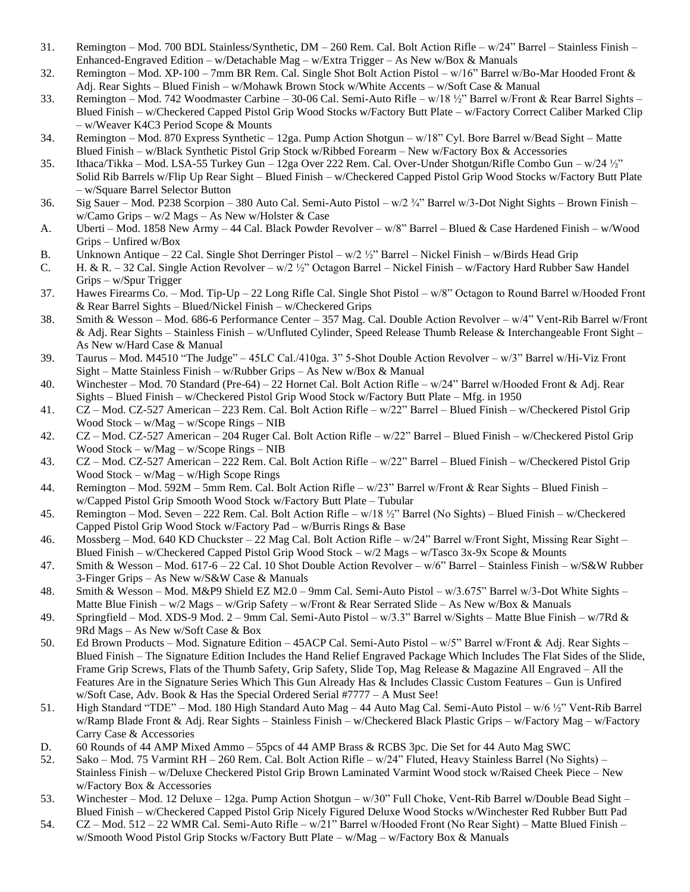- 31. Remington Mod. 700 BDL Stainless/Synthetic, DM 260 Rem. Cal. Bolt Action Rifle w/24" Barrel Stainless Finish Enhanced-Engraved Edition – w/Detachable Mag – w/Extra Trigger – As New w/Box & Manuals
- 32. Remington Mod. XP-100 7mm BR Rem. Cal. Single Shot Bolt Action Pistol w/16" Barrel w/Bo-Mar Hooded Front & Adj. Rear Sights – Blued Finish – w/Mohawk Brown Stock w/White Accents – w/Soft Case & Manual
- 33. Remington Mod. 742 Woodmaster Carbine 30-06 Cal. Semi-Auto Rifle w/18 ½" Barrel w/Front & Rear Barrel Sights Blued Finish – w/Checkered Capped Pistol Grip Wood Stocks w/Factory Butt Plate – w/Factory Correct Caliber Marked Clip – w/Weaver K4C3 Period Scope & Mounts
- 34. Remington Mod. 870 Express Synthetic 12ga. Pump Action Shotgun w/18" Cyl. Bore Barrel w/Bead Sight Matte Blued Finish – w/Black Synthetic Pistol Grip Stock w/Ribbed Forearm – New w/Factory Box & Accessories
- 35. Ithaca/Tikka Mod. LSA-55 Turkey Gun 12ga Over 222 Rem. Cal. Over-Under Shotgun/Rifle Combo Gun w/24 ½" Solid Rib Barrels w/Flip Up Rear Sight – Blued Finish – w/Checkered Capped Pistol Grip Wood Stocks w/Factory Butt Plate – w/Square Barrel Selector Button
- 36. Sig Sauer Mod. P238 Scorpion 380 Auto Cal. Semi-Auto Pistol w/2 ¾" Barrel w/3-Dot Night Sights Brown Finish w/Camo Grips – w/2 Mags – As New w/Holster & Case
- A. Uberti Mod. 1858 New Army 44 Cal. Black Powder Revolver w/8" Barrel Blued & Case Hardened Finish w/Wood Grips – Unfired w/Box
- B. Unknown Antique 22 Cal. Single Shot Derringer Pistol w/2 ½" Barrel Nickel Finish w/Birds Head Grip
- C. H. & R. 32 Cal. Single Action Revolver w/2 ½" Octagon Barrel Nickel Finish w/Factory Hard Rubber Saw Handel Grips – w/Spur Trigger
- 37. Hawes Firearms Co. Mod. Tip-Up 22 Long Rifle Cal. Single Shot Pistol w/8" Octagon to Round Barrel w/Hooded Front & Rear Barrel Sights – Blued/Nickel Finish – w/Checkered Grips
- 38. Smith & Wesson Mod. 686-6 Performance Center 357 Mag. Cal. Double Action Revolver w/4" Vent-Rib Barrel w/Front & Adj. Rear Sights – Stainless Finish – w/Unfluted Cylinder, Speed Release Thumb Release & Interchangeable Front Sight – As New w/Hard Case & Manual
- 39. Taurus Mod. M4510 "The Judge" 45LC Cal./410ga. 3" 5-Shot Double Action Revolver w/3" Barrel w/Hi-Viz Front Sight – Matte Stainless Finish – w/Rubber Grips – As New w/Box & Manual
- 40. Winchester Mod. 70 Standard (Pre-64) 22 Hornet Cal. Bolt Action Rifle w/24" Barrel w/Hooded Front & Adj. Rear Sights – Blued Finish – w/Checkered Pistol Grip Wood Stock w/Factory Butt Plate – Mfg. in 1950
- 41. CZ Mod. CZ-527 American 223 Rem. Cal. Bolt Action Rifle w/22" Barrel Blued Finish w/Checkered Pistol Grip Wood Stock – w/Mag – w/Scope Rings – NIB
- 42. CZ Mod. CZ-527 American 204 Ruger Cal. Bolt Action Rifle w/22" Barrel Blued Finish w/Checkered Pistol Grip Wood Stock – w/Mag – w/Scope Rings – NIB
- 43. CZ Mod. CZ-527 American 222 Rem. Cal. Bolt Action Rifle w/22" Barrel Blued Finish w/Checkered Pistol Grip Wood Stock – w/Mag – w/High Scope Rings
- 44. Remington Mod. 592M 5mm Rem. Cal. Bolt Action Rifle w/23" Barrel w/Front & Rear Sights Blued Finish w/Capped Pistol Grip Smooth Wood Stock w/Factory Butt Plate – Tubular
- 45. Remington Mod. Seven 222 Rem. Cal. Bolt Action Rifle w/18 ½" Barrel (No Sights) Blued Finish w/Checkered Capped Pistol Grip Wood Stock w/Factory Pad – w/Burris Rings & Base
- 46. Mossberg Mod. 640 KD Chuckster 22 Mag Cal. Bolt Action Rifle w/24" Barrel w/Front Sight, Missing Rear Sight Blued Finish – w/Checkered Capped Pistol Grip Wood Stock – w/2 Mags – w/Tasco 3x-9x Scope & Mounts
- 47. Smith & Wesson Mod. 617-6 22 Cal. 10 Shot Double Action Revolver w/6" Barrel Stainless Finish w/S&W Rubber 3-Finger Grips – As New w/S&W Case & Manuals
- 48. Smith & Wesson Mod. M&P9 Shield EZ M2.0 9mm Cal. Semi-Auto Pistol w/3.675" Barrel w/3-Dot White Sights Matte Blue Finish – w/2 Mags – w/Grip Safety – w/Front & Rear Serrated Slide – As New w/Box & Manuals
- 49. Springfield Mod. XDS-9 Mod. 2 9mm Cal. Semi-Auto Pistol w/3.3" Barrel w/Sights Matte Blue Finish w/7Rd & 9Rd Mags – As New w/Soft Case & Box
- 50. Ed Brown Products Mod. Signature Edition 45ACP Cal. Semi-Auto Pistol w/5" Barrel w/Front & Adj. Rear Sights Blued Finish – The Signature Edition Includes the Hand Relief Engraved Package Which Includes The Flat Sides of the Slide, Frame Grip Screws, Flats of the Thumb Safety, Grip Safety, Slide Top, Mag Release & Magazine All Engraved – All the Features Are in the Signature Series Which This Gun Already Has & Includes Classic Custom Features – Gun is Unfired w/Soft Case, Adv. Book & Has the Special Ordered Serial #7777 – A Must See!
- 51. High Standard "TDE" Mod. 180 High Standard Auto Mag 44 Auto Mag Cal. Semi-Auto Pistol w/6 ½" Vent-Rib Barrel w/Ramp Blade Front & Adj. Rear Sights – Stainless Finish – w/Checkered Black Plastic Grips – w/Factory Mag – w/Factory Carry Case & Accessories
- D. 60 Rounds of 44 AMP Mixed Ammo 55pcs of 44 AMP Brass & RCBS 3pc. Die Set for 44 Auto Mag SWC
- 52. Sako Mod. 75 Varmint RH 260 Rem. Cal. Bolt Action Rifle w/24" Fluted, Heavy Stainless Barrel (No Sights) Stainless Finish – w/Deluxe Checkered Pistol Grip Brown Laminated Varmint Wood stock w/Raised Cheek Piece – New w/Factory Box & Accessories
- 53. Winchester Mod. 12 Deluxe 12ga. Pump Action Shotgun w/30" Full Choke, Vent-Rib Barrel w/Double Bead Sight Blued Finish – w/Checkered Capped Pistol Grip Nicely Figured Deluxe Wood Stocks w/Winchester Red Rubber Butt Pad
- 54. CZ Mod. 512 22 WMR Cal. Semi-Auto Rifle w/21" Barrel w/Hooded Front (No Rear Sight) Matte Blued Finish w/Smooth Wood Pistol Grip Stocks w/Factory Butt Plate – w/Mag – w/Factory Box & Manuals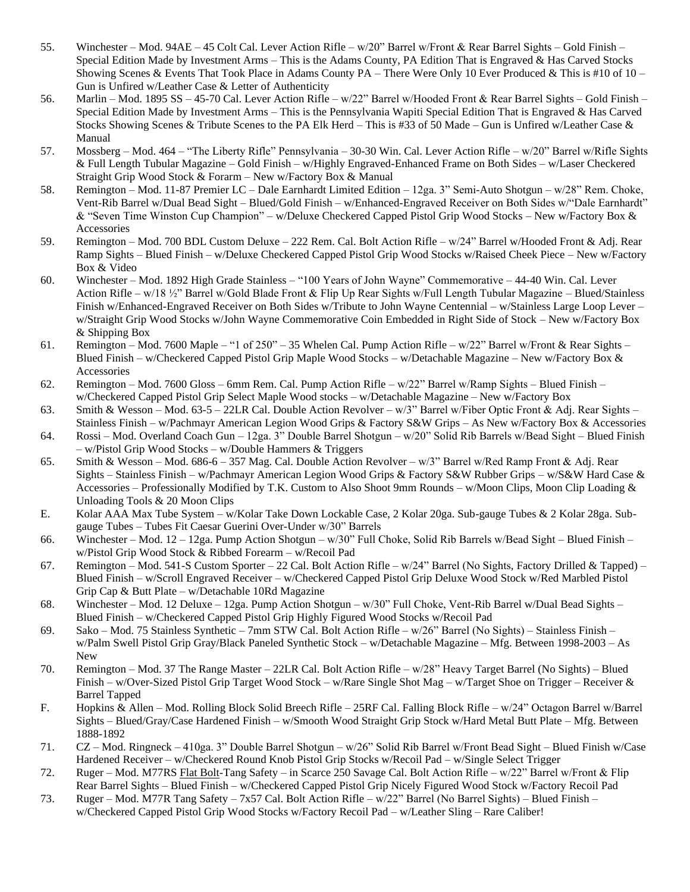- 55. Winchester Mod. 94AE 45 Colt Cal. Lever Action Rifle w/20" Barrel w/Front & Rear Barrel Sights Gold Finish Special Edition Made by Investment Arms – This is the Adams County, PA Edition That is Engraved & Has Carved Stocks Showing Scenes & Events That Took Place in Adams County PA – There Were Only 10 Ever Produced & This is #10 of 10 – Gun is Unfired w/Leather Case & Letter of Authenticity
- 56. Marlin Mod. 1895 SS 45-70 Cal. Lever Action Rifle w/22" Barrel w/Hooded Front & Rear Barrel Sights Gold Finish Special Edition Made by Investment Arms – This is the Pennsylvania Wapiti Special Edition That is Engraved & Has Carved Stocks Showing Scenes & Tribute Scenes to the PA Elk Herd – This is #33 of 50 Made – Gun is Unfired w/Leather Case  $\&$ Manual
- 57. Mossberg Mod. 464 "The Liberty Rifle" Pennsylvania 30-30 Win. Cal. Lever Action Rifle w/20" Barrel w/Rifle Sights & Full Length Tubular Magazine – Gold Finish – w/Highly Engraved-Enhanced Frame on Both Sides – w/Laser Checkered Straight Grip Wood Stock & Forarm – New w/Factory Box & Manual
- 58. Remington Mod. 11-87 Premier LC Dale Earnhardt Limited Edition 12ga. 3" Semi-Auto Shotgun w/28" Rem. Choke, Vent-Rib Barrel w/Dual Bead Sight – Blued/Gold Finish – w/Enhanced-Engraved Receiver on Both Sides w/"Dale Earnhardt" & "Seven Time Winston Cup Champion" – w/Deluxe Checkered Capped Pistol Grip Wood Stocks – New w/Factory Box & Accessories
- 59. Remington Mod. 700 BDL Custom Deluxe 222 Rem. Cal. Bolt Action Rifle w/24" Barrel w/Hooded Front & Adj. Rear Ramp Sights – Blued Finish – w/Deluxe Checkered Capped Pistol Grip Wood Stocks w/Raised Cheek Piece – New w/Factory Box & Video
- 60. Winchester Mod. 1892 High Grade Stainless "100 Years of John Wayne" Commemorative 44-40 Win. Cal. Lever Action Rifle – w/18 ½" Barrel w/Gold Blade Front & Flip Up Rear Sights w/Full Length Tubular Magazine – Blued/Stainless Finish w/Enhanced-Engraved Receiver on Both Sides w/Tribute to John Wayne Centennial – w/Stainless Large Loop Lever – w/Straight Grip Wood Stocks w/John Wayne Commemorative Coin Embedded in Right Side of Stock – New w/Factory Box & Shipping Box
- 61. Remington Mod. 7600 Maple "1 of 250" 35 Whelen Cal. Pump Action Rifle w/22" Barrel w/Front & Rear Sights Blued Finish – w/Checkered Capped Pistol Grip Maple Wood Stocks – w/Detachable Magazine – New w/Factory Box & Accessories
- 62. Remington Mod. 7600 Gloss 6mm Rem. Cal. Pump Action Rifle w/22" Barrel w/Ramp Sights Blued Finish w/Checkered Capped Pistol Grip Select Maple Wood stocks – w/Detachable Magazine – New w/Factory Box
- 63. Smith & Wesson Mod. 63-5 22LR Cal. Double Action Revolver w/3" Barrel w/Fiber Optic Front & Adj. Rear Sights Stainless Finish – w/Pachmayr American Legion Wood Grips & Factory S&W Grips – As New w/Factory Box & Accessories
- 64. Rossi Mod. Overland Coach Gun 12ga. 3" Double Barrel Shotgun w/20" Solid Rib Barrels w/Bead Sight Blued Finish – w/Pistol Grip Wood Stocks – w/Double Hammers & Triggers
- 65. Smith & Wesson Mod. 686-6 357 Mag. Cal. Double Action Revolver w/3" Barrel w/Red Ramp Front & Adj. Rear Sights – Stainless Finish – w/Pachmayr American Legion Wood Grips & Factory S&W Rubber Grips – w/S&W Hard Case & Accessories – Professionally Modified by T.K. Custom to Also Shoot 9mm Rounds – w/Moon Clips, Moon Clip Loading & Unloading Tools & 20 Moon Clips
- E. Kolar AAA Max Tube System w/Kolar Take Down Lockable Case, 2 Kolar 20ga. Sub-gauge Tubes & 2 Kolar 28ga. Subgauge Tubes – Tubes Fit Caesar Guerini Over-Under w/30" Barrels
- 66. Winchester Mod. 12 12ga. Pump Action Shotgun w/30" Full Choke, Solid Rib Barrels w/Bead Sight Blued Finish w/Pistol Grip Wood Stock & Ribbed Forearm – w/Recoil Pad
- 67. Remington Mod. 541-S Custom Sporter 22 Cal. Bolt Action Rifle w/24" Barrel (No Sights, Factory Drilled & Tapped) Blued Finish – w/Scroll Engraved Receiver – w/Checkered Capped Pistol Grip Deluxe Wood Stock w/Red Marbled Pistol Grip Cap & Butt Plate – w/Detachable 10Rd Magazine
- 68. Winchester Mod. 12 Deluxe 12ga. Pump Action Shotgun w/30" Full Choke, Vent-Rib Barrel w/Dual Bead Sights Blued Finish – w/Checkered Capped Pistol Grip Highly Figured Wood Stocks w/Recoil Pad
- 69. Sako Mod. 75 Stainless Synthetic 7mm STW Cal. Bolt Action Rifle w/26" Barrel (No Sights) Stainless Finish w/Palm Swell Pistol Grip Gray/Black Paneled Synthetic Stock – w/Detachable Magazine – Mfg. Between 1998-2003 – As New
- 70. Remington Mod. 37 The Range Master 22LR Cal. Bolt Action Rifle w/28" Heavy Target Barrel (No Sights) Blued Finish – w/Over-Sized Pistol Grip Target Wood Stock – w/Rare Single Shot Mag – w/Target Shoe on Trigger – Receiver & Barrel Tapped
- F. Hopkins & Allen Mod. Rolling Block Solid Breech Rifle 25RF Cal. Falling Block Rifle w/24" Octagon Barrel w/Barrel Sights – Blued/Gray/Case Hardened Finish – w/Smooth Wood Straight Grip Stock w/Hard Metal Butt Plate – Mfg. Between 1888-1892
- 71. CZ Mod. Ringneck 410ga. 3" Double Barrel Shotgun w/26" Solid Rib Barrel w/Front Bead Sight Blued Finish w/Case Hardened Receiver – w/Checkered Round Knob Pistol Grip Stocks w/Recoil Pad – w/Single Select Trigger
- 72. Ruger Mod. M77RS Flat Bolt-Tang Safety in Scarce 250 Savage Cal. Bolt Action Rifle w/22" Barrel w/Front & Flip Rear Barrel Sights – Blued Finish – w/Checkered Capped Pistol Grip Nicely Figured Wood Stock w/Factory Recoil Pad
- 73. Ruger Mod. M77R Tang Safety 7x57 Cal. Bolt Action Rifle w/22" Barrel (No Barrel Sights) Blued Finish w/Checkered Capped Pistol Grip Wood Stocks w/Factory Recoil Pad – w/Leather Sling – Rare Caliber!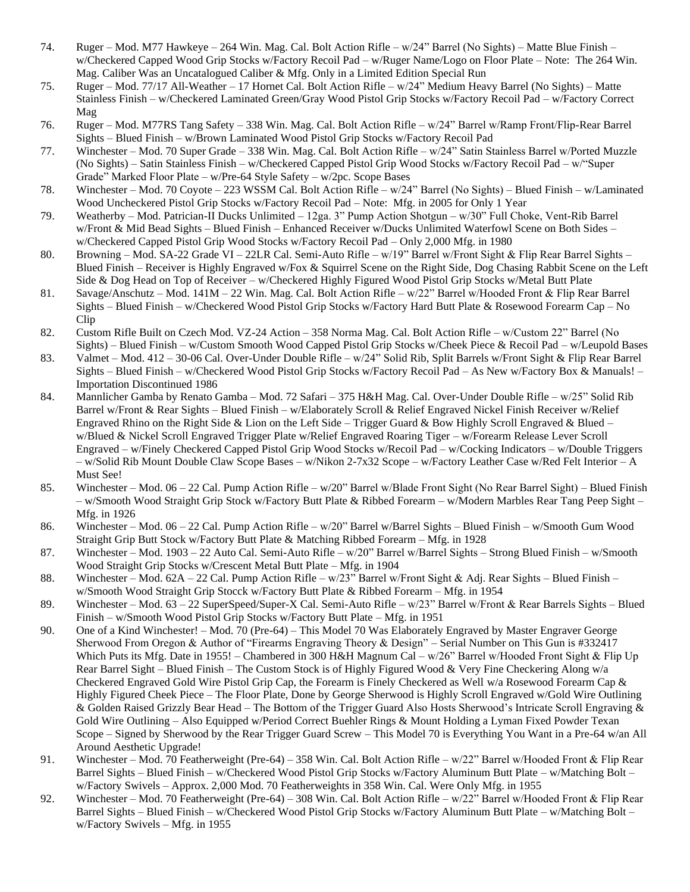- 74. Ruger Mod. M77 Hawkeye 264 Win. Mag. Cal. Bolt Action Rifle w/24" Barrel (No Sights) Matte Blue Finish w/Checkered Capped Wood Grip Stocks w/Factory Recoil Pad – w/Ruger Name/Logo on Floor Plate – Note: The 264 Win. Mag. Caliber Was an Uncatalogued Caliber & Mfg. Only in a Limited Edition Special Run
- 75. Ruger Mod. 77/17 All-Weather 17 Hornet Cal. Bolt Action Rifle w/24" Medium Heavy Barrel (No Sights) Matte Stainless Finish – w/Checkered Laminated Green/Gray Wood Pistol Grip Stocks w/Factory Recoil Pad – w/Factory Correct Mag
- 76. Ruger Mod. M77RS Tang Safety 338 Win. Mag. Cal. Bolt Action Rifle w/24" Barrel w/Ramp Front/Flip-Rear Barrel Sights – Blued Finish – w/Brown Laminated Wood Pistol Grip Stocks w/Factory Recoil Pad
- 77. Winchester Mod. 70 Super Grade 338 Win. Mag. Cal. Bolt Action Rifle w/24" Satin Stainless Barrel w/Ported Muzzle (No Sights) – Satin Stainless Finish – w/Checkered Capped Pistol Grip Wood Stocks w/Factory Recoil Pad – w/"Super Grade" Marked Floor Plate – w/Pre-64 Style Safety – w/2pc. Scope Bases
- 78. Winchester Mod. 70 Coyote 223 WSSM Cal. Bolt Action Rifle w/24" Barrel (No Sights) Blued Finish w/Laminated Wood Uncheckered Pistol Grip Stocks w/Factory Recoil Pad – Note: Mfg. in 2005 for Only 1 Year
- 79. Weatherby Mod. Patrician-II Ducks Unlimited 12ga. 3" Pump Action Shotgun w/30" Full Choke, Vent-Rib Barrel w/Front & Mid Bead Sights – Blued Finish – Enhanced Receiver w/Ducks Unlimited Waterfowl Scene on Both Sides – w/Checkered Capped Pistol Grip Wood Stocks w/Factory Recoil Pad – Only 2,000 Mfg. in 1980
- 80. Browning Mod. SA-22 Grade VI 22LR Cal. Semi-Auto Rifle w/19" Barrel w/Front Sight & Flip Rear Barrel Sights Blued Finish – Receiver is Highly Engraved w/Fox & Squirrel Scene on the Right Side, Dog Chasing Rabbit Scene on the Left Side & Dog Head on Top of Receiver – w/Checkered Highly Figured Wood Pistol Grip Stocks w/Metal Butt Plate
- 81. Savage/Anschutz Mod. 141M 22 Win. Mag. Cal. Bolt Action Rifle w/22" Barrel w/Hooded Front & Flip Rear Barrel Sights – Blued Finish – w/Checkered Wood Pistol Grip Stocks w/Factory Hard Butt Plate & Rosewood Forearm Cap – No Clip
- 82. Custom Rifle Built on Czech Mod. VZ-24 Action 358 Norma Mag. Cal. Bolt Action Rifle w/Custom 22" Barrel (No Sights) – Blued Finish – w/Custom Smooth Wood Capped Pistol Grip Stocks w/Cheek Piece & Recoil Pad – w/Leupold Bases
- 83. Valmet Mod. 412 30-06 Cal. Over-Under Double Rifle w/24" Solid Rib, Split Barrels w/Front Sight & Flip Rear Barrel Sights – Blued Finish – w/Checkered Wood Pistol Grip Stocks w/Factory Recoil Pad – As New w/Factory Box & Manuals! – Importation Discontinued 1986
- 84. Mannlicher Gamba by Renato Gamba Mod. 72 Safari 375 H&H Mag. Cal. Over-Under Double Rifle w/25" Solid Rib Barrel w/Front & Rear Sights – Blued Finish – w/Elaborately Scroll & Relief Engraved Nickel Finish Receiver w/Relief Engraved Rhino on the Right Side & Lion on the Left Side – Trigger Guard & Bow Highly Scroll Engraved & Blued – w/Blued & Nickel Scroll Engraved Trigger Plate w/Relief Engraved Roaring Tiger – w/Forearm Release Lever Scroll Engraved – w/Finely Checkered Capped Pistol Grip Wood Stocks w/Recoil Pad – w/Cocking Indicators – w/Double Triggers – w/Solid Rib Mount Double Claw Scope Bases – w/Nikon 2-7x32 Scope – w/Factory Leather Case w/Red Felt Interior – A Must See!
- 85. Winchester Mod. 06 22 Cal. Pump Action Rifle w/20" Barrel w/Blade Front Sight (No Rear Barrel Sight) Blued Finish – w/Smooth Wood Straight Grip Stock w/Factory Butt Plate & Ribbed Forearm – w/Modern Marbles Rear Tang Peep Sight – Mfg. in 1926
- 86. Winchester Mod. 06 22 Cal. Pump Action Rifle w/20" Barrel w/Barrel Sights Blued Finish w/Smooth Gum Wood Straight Grip Butt Stock w/Factory Butt Plate & Matching Ribbed Forearm – Mfg. in 1928
- 87. Winchester Mod. 1903 22 Auto Cal. Semi-Auto Rifle w/20" Barrel w/Barrel Sights Strong Blued Finish w/Smooth Wood Straight Grip Stocks w/Crescent Metal Butt Plate – Mfg. in 1904
- 88. Winchester Mod. 62A 22 Cal. Pump Action Rifle w/23" Barrel w/Front Sight & Adj. Rear Sights Blued Finish w/Smooth Wood Straight Grip Stocck w/Factory Butt Plate & Ribbed Forearm – Mfg. in 1954
- 89. Winchester Mod. 63 22 SuperSpeed/Super-X Cal. Semi-Auto Rifle w/23" Barrel w/Front & Rear Barrels Sights Blued Finish – w/Smooth Wood Pistol Grip Stocks w/Factory Butt Plate – Mfg. in 1951
- 90. One of a Kind Winchester! Mod. 70 (Pre-64) This Model 70 Was Elaborately Engraved by Master Engraver George Sherwood From Oregon & Author of "Firearms Engraving Theory & Design" – Serial Number on This Gun is #332417 Which Puts its Mfg. Date in 1955! – Chambered in 300 H&H Magnum Cal – w/26" Barrel w/Hooded Front Sight & Flip Up Rear Barrel Sight – Blued Finish – The Custom Stock is of Highly Figured Wood & Very Fine Checkering Along w/a Checkered Engraved Gold Wire Pistol Grip Cap, the Forearm is Finely Checkered as Well w/a Rosewood Forearm Cap & Highly Figured Cheek Piece – The Floor Plate, Done by George Sherwood is Highly Scroll Engraved w/Gold Wire Outlining & Golden Raised Grizzly Bear Head – The Bottom of the Trigger Guard Also Hosts Sherwood's Intricate Scroll Engraving & Gold Wire Outlining – Also Equipped w/Period Correct Buehler Rings & Mount Holding a Lyman Fixed Powder Texan Scope – Signed by Sherwood by the Rear Trigger Guard Screw – This Model 70 is Everything You Want in a Pre-64 w/an All Around Aesthetic Upgrade!
- 91. Winchester Mod. 70 Featherweight (Pre-64) 358 Win. Cal. Bolt Action Rifle w/22" Barrel w/Hooded Front & Flip Rear Barrel Sights – Blued Finish – w/Checkered Wood Pistol Grip Stocks w/Factory Aluminum Butt Plate – w/Matching Bolt – w/Factory Swivels – Approx. 2,000 Mod. 70 Featherweights in 358 Win. Cal. Were Only Mfg. in 1955
- 92. Winchester Mod. 70 Featherweight (Pre-64) 308 Win. Cal. Bolt Action Rifle w/22" Barrel w/Hooded Front & Flip Rear Barrel Sights – Blued Finish – w/Checkered Wood Pistol Grip Stocks w/Factory Aluminum Butt Plate – w/Matching Bolt – w/Factory Swivels – Mfg. in 1955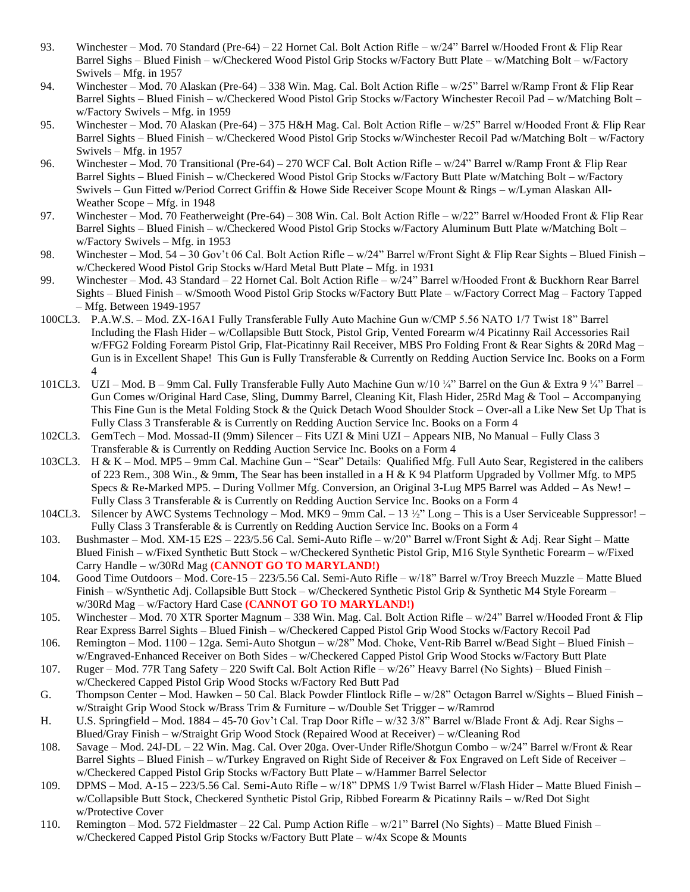- 93. Winchester Mod. 70 Standard (Pre-64) 22 Hornet Cal. Bolt Action Rifle w/24" Barrel w/Hooded Front & Flip Rear Barrel Sighs – Blued Finish – w/Checkered Wood Pistol Grip Stocks w/Factory Butt Plate – w/Matching Bolt – w/Factory Swivels – Mfg. in 1957
- 94. Winchester Mod. 70 Alaskan (Pre-64) 338 Win. Mag. Cal. Bolt Action Rifle w/25" Barrel w/Ramp Front & Flip Rear Barrel Sights – Blued Finish – w/Checkered Wood Pistol Grip Stocks w/Factory Winchester Recoil Pad – w/Matching Bolt – w/Factory Swivels – Mfg. in 1959
- 95. Winchester Mod. 70 Alaskan (Pre-64) 375 H&H Mag. Cal. Bolt Action Rifle w/25" Barrel w/Hooded Front & Flip Rear Barrel Sights – Blued Finish – w/Checkered Wood Pistol Grip Stocks w/Winchester Recoil Pad w/Matching Bolt – w/Factory Swivels – Mfg. in 1957
- 96. Winchester Mod. 70 Transitional (Pre-64) 270 WCF Cal. Bolt Action Rifle w/24" Barrel w/Ramp Front & Flip Rear Barrel Sights – Blued Finish – w/Checkered Wood Pistol Grip Stocks w/Factory Butt Plate w/Matching Bolt – w/Factory Swivels – Gun Fitted w/Period Correct Griffin & Howe Side Receiver Scope Mount & Rings – w/Lyman Alaskan All-Weather Scope – Mfg. in 1948
- 97. Winchester Mod. 70 Featherweight (Pre-64) 308 Win. Cal. Bolt Action Rifle w/22" Barrel w/Hooded Front & Flip Rear Barrel Sights – Blued Finish – w/Checkered Wood Pistol Grip Stocks w/Factory Aluminum Butt Plate w/Matching Bolt – w/Factory Swivels – Mfg. in 1953
- 98. Winchester Mod. 54 30 Gov't 06 Cal. Bolt Action Rifle w/24" Barrel w/Front Sight & Flip Rear Sights Blued Finish w/Checkered Wood Pistol Grip Stocks w/Hard Metal Butt Plate – Mfg. in 1931
- 99. Winchester Mod. 43 Standard 22 Hornet Cal. Bolt Action Rifle w/24" Barrel w/Hooded Front & Buckhorn Rear Barrel Sights – Blued Finish – w/Smooth Wood Pistol Grip Stocks w/Factory Butt Plate – w/Factory Correct Mag – Factory Tapped – Mfg. Between 1949-1957
- 100CL3. P.A.W.S. Mod. ZX-16A1 Fully Transferable Fully Auto Machine Gun w/CMP 5.56 NATO 1/7 Twist 18" Barrel Including the Flash Hider – w/Collapsible Butt Stock, Pistol Grip, Vented Forearm w/4 Picatinny Rail Accessories Rail w/FFG2 Folding Forearm Pistol Grip, Flat-Picatinny Rail Receiver, MBS Pro Folding Front & Rear Sights & 20Rd Mag – Gun is in Excellent Shape! This Gun is Fully Transferable & Currently on Redding Auction Service Inc. Books on a Form 4
- 101CL3. UZI Mod. B 9mm Cal. Fully Transferable Fully Auto Machine Gun w/10 ¼" Barrel on the Gun & Extra 9 ¼" Barrel Gun Comes w/Original Hard Case, Sling, Dummy Barrel, Cleaning Kit, Flash Hider, 25Rd Mag & Tool – Accompanying This Fine Gun is the Metal Folding Stock & the Quick Detach Wood Shoulder Stock – Over-all a Like New Set Up That is Fully Class 3 Transferable & is Currently on Redding Auction Service Inc. Books on a Form 4
- 102CL3. GemTech Mod. Mossad-II (9mm) Silencer Fits UZI & Mini UZI Appears NIB, No Manual Fully Class 3 Transferable & is Currently on Redding Auction Service Inc. Books on a Form 4
- 103CL3. H & K Mod. MP5 9mm Cal. Machine Gun "Sear" Details: Qualified Mfg. Full Auto Sear, Registered in the calibers of 223 Rem., 308 Win., & 9mm, The Sear has been installed in a H & K 94 Platform Upgraded by Vollmer Mfg. to MP5 Specs & Re-Marked MP5. – During Vollmer Mfg. Conversion, an Original 3-Lug MP5 Barrel was Added – As New! – Fully Class 3 Transferable & is Currently on Redding Auction Service Inc. Books on a Form 4
- 104CL3. Silencer by AWC Systems Technology Mod. MK9 9mm Cal. 13 ½" Long This is a User Serviceable Suppressor! Fully Class 3 Transferable & is Currently on Redding Auction Service Inc. Books on a Form 4
- 103. Bushmaster Mod. XM-15 E2S 223/5.56 Cal. Semi-Auto Rifle w/20" Barrel w/Front Sight & Adj. Rear Sight Matte Blued Finish – w/Fixed Synthetic Butt Stock – w/Checkered Synthetic Pistol Grip, M16 Style Synthetic Forearm – w/Fixed Carry Handle – w/30Rd Mag **(CANNOT GO TO MARYLAND!)**
- 104. Good Time Outdoors Mod. Core-15 223/5.56 Cal. Semi-Auto Rifle w/18" Barrel w/Troy Breech Muzzle Matte Blued Finish – w/Synthetic Adj. Collapsible Butt Stock – w/Checkered Synthetic Pistol Grip & Synthetic M4 Style Forearm – w/30Rd Mag – w/Factory Hard Case **(CANNOT GO TO MARYLAND!)**
- 105. Winchester Mod. 70 XTR Sporter Magnum 338 Win. Mag. Cal. Bolt Action Rifle w/24" Barrel w/Hooded Front & Flip Rear Express Barrel Sights – Blued Finish – w/Checkered Capped Pistol Grip Wood Stocks w/Factory Recoil Pad
- 106. Remington Mod. 1100 12ga. Semi-Auto Shotgun w/28" Mod. Choke, Vent-Rib Barrel w/Bead Sight Blued Finish w/Engraved-Enhanced Receiver on Both Sides – w/Checkered Capped Pistol Grip Wood Stocks w/Factory Butt Plate
- 107. Ruger Mod. 77R Tang Safety 220 Swift Cal. Bolt Action Rifle w/26" Heavy Barrel (No Sights) Blued Finish w/Checkered Capped Pistol Grip Wood Stocks w/Factory Red Butt Pad
- G. Thompson Center Mod. Hawken 50 Cal. Black Powder Flintlock Rifle w/28" Octagon Barrel w/Sights Blued Finish w/Straight Grip Wood Stock w/Brass Trim & Furniture – w/Double Set Trigger – w/Ramrod
- H. U.S. Springfield Mod. 1884 45-70 Gov't Cal. Trap Door Rifle w/32 3/8" Barrel w/Blade Front & Adj. Rear Sighs Blued/Gray Finish – w/Straight Grip Wood Stock (Repaired Wood at Receiver) – w/Cleaning Rod
- 108. Savage Mod. 24J-DL 22 Win. Mag. Cal. Over 20ga. Over-Under Rifle/Shotgun Combo w/24" Barrel w/Front & Rear Barrel Sights – Blued Finish – w/Turkey Engraved on Right Side of Receiver & Fox Engraved on Left Side of Receiver – w/Checkered Capped Pistol Grip Stocks w/Factory Butt Plate – w/Hammer Barrel Selector
- 109. DPMS Mod. A-15 223/5.56 Cal. Semi-Auto Rifle w/18" DPMS 1/9 Twist Barrel w/Flash Hider Matte Blued Finish w/Collapsible Butt Stock, Checkered Synthetic Pistol Grip, Ribbed Forearm & Picatinny Rails – w/Red Dot Sight w/Protective Cover
- 110. Remington Mod. 572 Fieldmaster 22 Cal. Pump Action Rifle w/21" Barrel (No Sights) Matte Blued Finish w/Checkered Capped Pistol Grip Stocks w/Factory Butt Plate – w/4x Scope & Mounts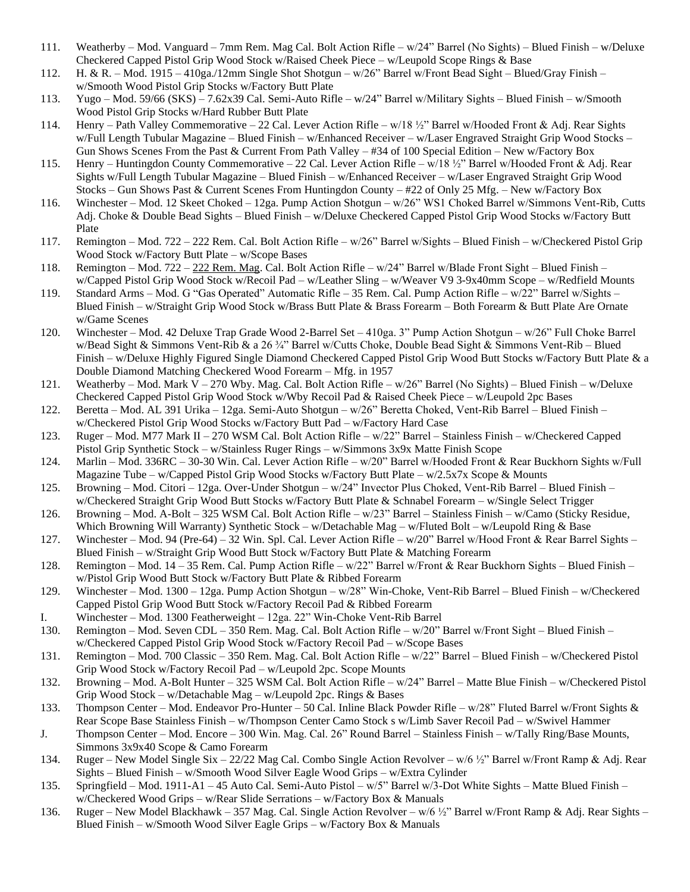- 111. Weatherby Mod. Vanguard 7mm Rem. Mag Cal. Bolt Action Rifle w/24" Barrel (No Sights) Blued Finish w/Deluxe Checkered Capped Pistol Grip Wood Stock w/Raised Cheek Piece – w/Leupold Scope Rings & Base
- 112. H. & R. Mod. 1915 410ga./12mm Single Shot Shotgun w/26" Barrel w/Front Bead Sight Blued/Gray Finish w/Smooth Wood Pistol Grip Stocks w/Factory Butt Plate
- 113. Yugo Mod. 59/66 (SKS) 7.62x39 Cal. Semi-Auto Rifle w/24" Barrel w/Military Sights Blued Finish w/Smooth Wood Pistol Grip Stocks w/Hard Rubber Butt Plate
- 114. Henry Path Valley Commemorative 22 Cal. Lever Action Rifle w/18 ½" Barrel w/Hooded Front & Adj. Rear Sights w/Full Length Tubular Magazine – Blued Finish – w/Enhanced Receiver – w/Laser Engraved Straight Grip Wood Stocks – Gun Shows Scenes From the Past & Current From Path Valley – #34 of 100 Special Edition – New w/Factory Box
- 115. Henry Huntingdon County Commemorative 22 Cal. Lever Action Rifle w/18 ½" Barrel w/Hooded Front & Adj. Rear Sights w/Full Length Tubular Magazine – Blued Finish – w/Enhanced Receiver – w/Laser Engraved Straight Grip Wood Stocks – Gun Shows Past & Current Scenes From Huntingdon County – #22 of Only 25 Mfg. – New w/Factory Box
- 116. Winchester Mod. 12 Skeet Choked 12ga. Pump Action Shotgun w/26" WS1 Choked Barrel w/Simmons Vent-Rib, Cutts Adj. Choke & Double Bead Sights – Blued Finish – w/Deluxe Checkered Capped Pistol Grip Wood Stocks w/Factory Butt Plate
- 117. Remington Mod. 722 222 Rem. Cal. Bolt Action Rifle w/26" Barrel w/Sights Blued Finish w/Checkered Pistol Grip Wood Stock w/Factory Butt Plate – w/Scope Bases
- 118. Remington Mod. 722 222 Rem. Mag. Cal. Bolt Action Rifle w/24" Barrel w/Blade Front Sight Blued Finish w/Capped Pistol Grip Wood Stock w/Recoil Pad – w/Leather Sling – w/Weaver V9 3-9x40mm Scope – w/Redfield Mounts
- 119. Standard Arms Mod. G "Gas Operated" Automatic Rifle 35 Rem. Cal. Pump Action Rifle w/22" Barrel w/Sights Blued Finish – w/Straight Grip Wood Stock w/Brass Butt Plate & Brass Forearm – Both Forearm & Butt Plate Are Ornate w/Game Scenes
- 120. Winchester Mod. 42 Deluxe Trap Grade Wood 2-Barrel Set 410ga. 3" Pump Action Shotgun w/26" Full Choke Barrel w/Bead Sight & Simmons Vent-Rib & a 26 ¾" Barrel w/Cutts Choke, Double Bead Sight & Simmons Vent-Rib – Blued Finish – w/Deluxe Highly Figured Single Diamond Checkered Capped Pistol Grip Wood Butt Stocks w/Factory Butt Plate & a Double Diamond Matching Checkered Wood Forearm – Mfg. in 1957
- 121. Weatherby Mod. Mark V 270 Wby. Mag. Cal. Bolt Action Rifle w/26" Barrel (No Sights) Blued Finish w/Deluxe Checkered Capped Pistol Grip Wood Stock w/Wby Recoil Pad & Raised Cheek Piece – w/Leupold 2pc Bases
- 122. Beretta Mod. AL 391 Urika 12ga. Semi-Auto Shotgun w/26" Beretta Choked, Vent-Rib Barrel Blued Finish w/Checkered Pistol Grip Wood Stocks w/Factory Butt Pad – w/Factory Hard Case
- 123. Ruger Mod. M77 Mark II 270 WSM Cal. Bolt Action Rifle w/22" Barrel Stainless Finish w/Checkered Capped Pistol Grip Synthetic Stock – w/Stainless Ruger Rings – w/Simmons 3x9x Matte Finish Scope
- 124. Marlin Mod. 336RC 30-30 Win. Cal. Lever Action Rifle w/20" Barrel w/Hooded Front & Rear Buckhorn Sights w/Full Magazine Tube – w/Capped Pistol Grip Wood Stocks w/Factory Butt Plate – w/2.5x7x Scope & Mounts
- 125. Browning Mod. Citori 12ga. Over-Under Shotgun w/24" Invector Plus Choked, Vent-Rib Barrel Blued Finish w/Checkered Straight Grip Wood Butt Stocks w/Factory Butt Plate & Schnabel Forearm – w/Single Select Trigger
- 126. Browning Mod. A-Bolt 325 WSM Cal. Bolt Action Rifle w/23" Barrel Stainless Finish w/Camo (Sticky Residue, Which Browning Will Warranty) Synthetic Stock – w/Detachable Mag – w/Fluted Bolt – w/Leupold Ring & Base
- 127. Winchester Mod. 94 (Pre-64) 32 Win. Spl. Cal. Lever Action Rifle w/20" Barrel w/Hood Front & Rear Barrel Sights Blued Finish – w/Straight Grip Wood Butt Stock w/Factory Butt Plate & Matching Forearm
- 128. Remington Mod. 14 35 Rem. Cal. Pump Action Rifle w/22" Barrel w/Front & Rear Buckhorn Sights Blued Finish w/Pistol Grip Wood Butt Stock w/Factory Butt Plate & Ribbed Forearm
- 129. Winchester Mod. 1300 12ga. Pump Action Shotgun w/28" Win-Choke, Vent-Rib Barrel Blued Finish w/Checkered Capped Pistol Grip Wood Butt Stock w/Factory Recoil Pad & Ribbed Forearm
- I. Winchester Mod. 1300 Featherweight 12ga. 22" Win-Choke Vent-Rib Barrel
- 130. Remington Mod. Seven CDL 350 Rem. Mag. Cal. Bolt Action Rifle w/20" Barrel w/Front Sight Blued Finish w/Checkered Capped Pistol Grip Wood Stock w/Factory Recoil Pad – w/Scope Bases
- 131. Remington Mod. 700 Classic 350 Rem. Mag. Cal. Bolt Action Rifle w/22" Barrel Blued Finish w/Checkered Pistol Grip Wood Stock w/Factory Recoil Pad – w/Leupold 2pc. Scope Mounts
- 132. Browning Mod. A-Bolt Hunter 325 WSM Cal. Bolt Action Rifle w/24" Barrel Matte Blue Finish w/Checkered Pistol Grip Wood Stock – w/Detachable Mag – w/Leupold 2pc. Rings & Bases
- 133. Thompson Center Mod. Endeavor Pro-Hunter 50 Cal. Inline Black Powder Rifle w/28" Fluted Barrel w/Front Sights & Rear Scope Base Stainless Finish – w/Thompson Center Camo Stock s w/Limb Saver Recoil Pad – w/Swivel Hammer
- J. Thompson Center Mod. Encore 300 Win. Mag. Cal. 26" Round Barrel Stainless Finish w/Tally Ring/Base Mounts, Simmons 3x9x40 Scope & Camo Forearm
- 134. Ruger New Model Single Six 22/22 Mag Cal. Combo Single Action Revolver w/6 ½" Barrel w/Front Ramp & Adj. Rear Sights – Blued Finish – w/Smooth Wood Silver Eagle Wood Grips – w/Extra Cylinder
- 135. Springfield Mod. 1911-A1 45 Auto Cal. Semi-Auto Pistol w/5" Barrel w/3-Dot White Sights Matte Blued Finish w/Checkered Wood Grips – w/Rear Slide Serrations – w/Factory Box & Manuals
- 136. Ruger New Model Blackhawk 357 Mag. Cal. Single Action Revolver w/6 ½" Barrel w/Front Ramp & Adj. Rear Sights Blued Finish – w/Smooth Wood Silver Eagle Grips – w/Factory Box & Manuals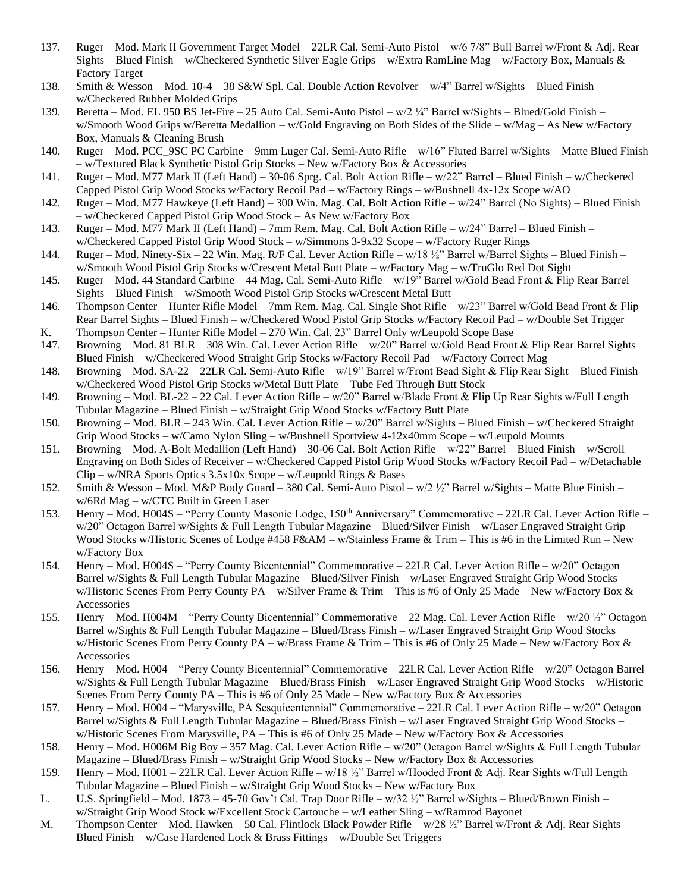- 137. Ruger Mod. Mark II Government Target Model 22LR Cal. Semi-Auto Pistol w/6 7/8" Bull Barrel w/Front & Adj. Rear Sights – Blued Finish – w/Checkered Synthetic Silver Eagle Grips – w/Extra RamLine Mag – w/Factory Box, Manuals & Factory Target
- 138. Smith & Wesson Mod. 10-4 38 S&W Spl. Cal. Double Action Revolver w/4" Barrel w/Sights Blued Finish w/Checkered Rubber Molded Grips
- 139. Beretta Mod. EL 950 BS Jet-Fire 25 Auto Cal. Semi-Auto Pistol w/2 ¼" Barrel w/Sights Blued/Gold Finish w/Smooth Wood Grips w/Beretta Medallion – w/Gold Engraving on Both Sides of the Slide – w/Mag – As New w/Factory Box, Manuals & Cleaning Brush
- 140. Ruger Mod. PCC\_9SC PC Carbine 9mm Luger Cal. Semi-Auto Rifle w/16" Fluted Barrel w/Sights Matte Blued Finish – w/Textured Black Synthetic Pistol Grip Stocks – New w/Factory Box & Accessories
- 141. Ruger Mod. M77 Mark II (Left Hand) 30-06 Sprg. Cal. Bolt Action Rifle w/22" Barrel Blued Finish w/Checkered Capped Pistol Grip Wood Stocks w/Factory Recoil Pad – w/Factory Rings – w/Bushnell 4x-12x Scope w/AO
- 142. Ruger Mod. M77 Hawkeye (Left Hand) 300 Win. Mag. Cal. Bolt Action Rifle w/24" Barrel (No Sights) Blued Finish – w/Checkered Capped Pistol Grip Wood Stock – As New w/Factory Box
- 143. Ruger Mod. M77 Mark II (Left Hand) 7mm Rem. Mag. Cal. Bolt Action Rifle w/24" Barrel Blued Finish w/Checkered Capped Pistol Grip Wood Stock – w/Simmons 3-9x32 Scope – w/Factory Ruger Rings
- 144. Ruger Mod. Ninety-Six 22 Win. Mag. R/F Cal. Lever Action Rifle w/18 ½" Barrel w/Barrel Sights Blued Finish w/Smooth Wood Pistol Grip Stocks w/Crescent Metal Butt Plate – w/Factory Mag – w/TruGlo Red Dot Sight
- 145. Ruger Mod. 44 Standard Carbine 44 Mag. Cal. Semi-Auto Rifle w/19" Barrel w/Gold Bead Front & Flip Rear Barrel Sights – Blued Finish – w/Smooth Wood Pistol Grip Stocks w/Crescent Metal Butt
- 146. Thompson Center Hunter Rifle Model 7mm Rem. Mag. Cal. Single Shot Rifle w/23" Barrel w/Gold Bead Front & Flip Rear Barrel Sights – Blued Finish – w/Checkered Wood Pistol Grip Stocks w/Factory Recoil Pad – w/Double Set Trigger
- K. Thompson Center Hunter Rifle Model 270 Win. Cal. 23" Barrel Only w/Leupold Scope Base
- 147. Browning Mod. 81 BLR 308 Win. Cal. Lever Action Rifle w/20" Barrel w/Gold Bead Front & Flip Rear Barrel Sights Blued Finish – w/Checkered Wood Straight Grip Stocks w/Factory Recoil Pad – w/Factory Correct Mag
- 148. Browning Mod. SA-22 22LR Cal. Semi-Auto Rifle w/19" Barrel w/Front Bead Sight & Flip Rear Sight Blued Finish w/Checkered Wood Pistol Grip Stocks w/Metal Butt Plate – Tube Fed Through Butt Stock
- 149. Browning Mod. BL-22 22 Cal. Lever Action Rifle w/20" Barrel w/Blade Front & Flip Up Rear Sights w/Full Length Tubular Magazine – Blued Finish – w/Straight Grip Wood Stocks w/Factory Butt Plate
- 150. Browning Mod. BLR 243 Win. Cal. Lever Action Rifle w/20" Barrel w/Sights Blued Finish w/Checkered Straight Grip Wood Stocks – w/Camo Nylon Sling – w/Bushnell Sportview 4-12x40mm Scope – w/Leupold Mounts
- 151. Browning Mod. A-Bolt Medallion (Left Hand) 30-06 Cal. Bolt Action Rifle w/22" Barrel Blued Finish w/Scroll Engraving on Both Sides of Receiver – w/Checkered Capped Pistol Grip Wood Stocks w/Factory Recoil Pad – w/Detachable  $Clip - w/NRA$  Sports Optics  $3.5x10x$  Scope – w/Leupold Rings & Bases
- 152. Smith & Wesson Mod. M&P Body Guard 380 Cal. Semi-Auto Pistol w/2 ½" Barrel w/Sights Matte Blue Finish w/6Rd Mag – w/CTC Built in Green Laser
- 153. Henry Mod. H004S "Perry County Masonic Lodge, 150<sup>th</sup> Anniversary" Commemorative 22LR Cal. Lever Action Rifle w/20" Octagon Barrel w/Sights & Full Length Tubular Magazine – Blued/Silver Finish – w/Laser Engraved Straight Grip Wood Stocks w/Historic Scenes of Lodge #458 F&AM – w/Stainless Frame & Trim – This is #6 in the Limited Run – New w/Factory Box
- 154. Henry Mod. H004S "Perry County Bicentennial" Commemorative 22LR Cal. Lever Action Rifle w/20" Octagon Barrel w/Sights & Full Length Tubular Magazine – Blued/Silver Finish – w/Laser Engraved Straight Grip Wood Stocks w/Historic Scenes From Perry County PA – w/Silver Frame & Trim – This is #6 of Only 25 Made – New w/Factory Box & Accessories
- 155. Henry Mod. H004M "Perry County Bicentennial" Commemorative 22 Mag. Cal. Lever Action Rifle w/20 ½" Octagon Barrel w/Sights & Full Length Tubular Magazine – Blued/Brass Finish – w/Laser Engraved Straight Grip Wood Stocks w/Historic Scenes From Perry County PA – w/Brass Frame & Trim – This is #6 of Only 25 Made – New w/Factory Box & Accessories
- 156. Henry Mod. H004 "Perry County Bicentennial" Commemorative 22LR Cal. Lever Action Rifle w/20" Octagon Barrel w/Sights & Full Length Tubular Magazine – Blued/Brass Finish – w/Laser Engraved Straight Grip Wood Stocks – w/Historic Scenes From Perry County PA – This is #6 of Only 25 Made – New w/Factory Box & Accessories
- 157. Henry Mod. H004 "Marysville, PA Sesquicentennial" Commemorative 22LR Cal. Lever Action Rifle w/20" Octagon Barrel w/Sights & Full Length Tubular Magazine – Blued/Brass Finish – w/Laser Engraved Straight Grip Wood Stocks – w/Historic Scenes From Marysville, PA – This is #6 of Only 25 Made – New w/Factory Box & Accessories
- 158. Henry Mod. H006M Big Boy 357 Mag. Cal. Lever Action Rifle w/20" Octagon Barrel w/Sights & Full Length Tubular Magazine – Blued/Brass Finish – w/Straight Grip Wood Stocks – New w/Factory Box & Accessories
- 159. Henry Mod. H001 22LR Cal. Lever Action Rifle w/18 ½" Barrel w/Hooded Front & Adj. Rear Sights w/Full Length Tubular Magazine – Blued Finish – w/Straight Grip Wood Stocks – New w/Factory Box
- L. U.S. Springfield Mod. 1873 45-70 Gov't Cal. Trap Door Rifle w/32 ½" Barrel w/Sights Blued/Brown Finish w/Straight Grip Wood Stock w/Excellent Stock Cartouche – w/Leather Sling – w/Ramrod Bayonet
- M. Thompson Center Mod. Hawken 50 Cal. Flintlock Black Powder Rifle w/28 ½" Barrel w/Front & Adj. Rear Sights Blued Finish – w/Case Hardened Lock & Brass Fittings – w/Double Set Triggers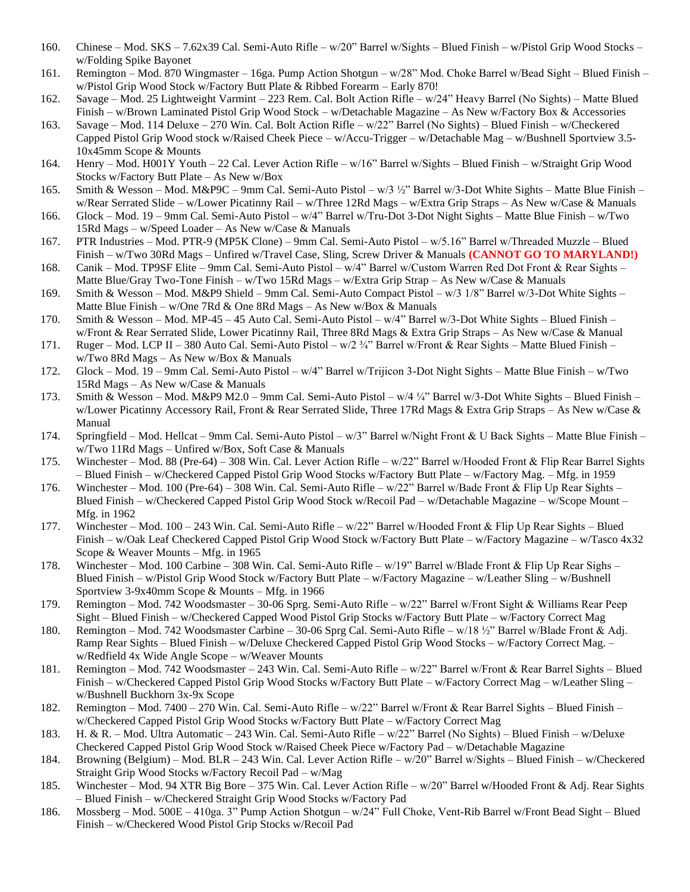- 160. Chinese Mod. SKS 7.62x39 Cal. Semi-Auto Rifle w/20" Barrel w/Sights Blued Finish w/Pistol Grip Wood Stocks w/Folding Spike Bayonet
- 161. Remington Mod. 870 Wingmaster 16ga. Pump Action Shotgun w/28" Mod. Choke Barrel w/Bead Sight Blued Finish w/Pistol Grip Wood Stock w/Factory Butt Plate & Ribbed Forearm – Early 870!
- 162. Savage Mod. 25 Lightweight Varmint 223 Rem. Cal. Bolt Action Rifle w/24" Heavy Barrel (No Sights) Matte Blued Finish – w/Brown Laminated Pistol Grip Wood Stock – w/Detachable Magazine – As New w/Factory Box & Accessories
- 163. Savage Mod. 114 Deluxe 270 Win. Cal. Bolt Action Rifle w/22" Barrel (No Sights) Blued Finish w/Checkered Capped Pistol Grip Wood stock w/Raised Cheek Piece – w/Accu-Trigger – w/Detachable Mag – w/Bushnell Sportview 3.5- 10x45mm Scope & Mounts
- 164. Henry Mod. H001Y Youth 22 Cal. Lever Action Rifle w/16" Barrel w/Sights Blued Finish w/Straight Grip Wood Stocks w/Factory Butt Plate – As New w/Box
- 165. Smith & Wesson Mod. M&P9C 9mm Cal. Semi-Auto Pistol w/3 ½" Barrel w/3-Dot White Sights Matte Blue Finish w/Rear Serrated Slide – w/Lower Picatinny Rail – w/Three 12Rd Mags – w/Extra Grip Straps – As New w/Case & Manuals
- 166. Glock Mod. 19 9mm Cal. Semi-Auto Pistol w/4" Barrel w/Tru-Dot 3-Dot Night Sights Matte Blue Finish w/Two 15Rd Mags – w/Speed Loader – As New w/Case & Manuals
- 167. PTR Industries Mod. PTR-9 (MP5K Clone) 9mm Cal. Semi-Auto Pistol w/5.16" Barrel w/Threaded Muzzle Blued Finish – w/Two 30Rd Mags – Unfired w/Travel Case, Sling, Screw Driver & Manuals **(CANNOT GO TO MARYLAND!)**
- 168. Canik Mod. TP9SF Elite 9mm Cal. Semi-Auto Pistol w/4" Barrel w/Custom Warren Red Dot Front & Rear Sights Matte Blue/Gray Two-Tone Finish – w/Two 15Rd Mags – w/Extra Grip Strap – As New w/Case & Manuals
- 169. Smith & Wesson Mod. M&P9 Shield 9mm Cal. Semi-Auto Compact Pistol w/3 1/8" Barrel w/3-Dot White Sights Matte Blue Finish – w/One 7Rd & One 8Rd Mags – As New w/Box & Manuals
- 170. Smith & Wesson Mod. MP-45 45 Auto Cal. Semi-Auto Pistol w/4" Barrel w/3-Dot White Sights Blued Finish w/Front & Rear Serrated Slide, Lower Picatinny Rail, Three 8Rd Mags & Extra Grip Straps – As New w/Case & Manual
- 171. Ruger Mod. LCP II 380 Auto Cal. Semi-Auto Pistol w/2 ¾" Barrel w/Front & Rear Sights Matte Blued Finish w/Two 8Rd Mags – As New w/Box & Manuals
- 172. Glock Mod. 19 9mm Cal. Semi-Auto Pistol w/4" Barrel w/Trijicon 3-Dot Night Sights Matte Blue Finish w/Two 15Rd Mags – As New w/Case & Manuals
- 173. Smith & Wesson Mod. M&P9 M2.0 9mm Cal. Semi-Auto Pistol w/4 ¼" Barrel w/3-Dot White Sights Blued Finish w/Lower Picatinny Accessory Rail, Front & Rear Serrated Slide, Three 17Rd Mags & Extra Grip Straps – As New w/Case & Manual
- 174. Springfield Mod. Hellcat 9mm Cal. Semi-Auto Pistol w/3" Barrel w/Night Front & U Back Sights Matte Blue Finish w/Two 11Rd Mags – Unfired w/Box, Soft Case & Manuals
- 175. Winchester Mod. 88 (Pre-64) 308 Win. Cal. Lever Action Rifle w/22" Barrel w/Hooded Front & Flip Rear Barrel Sights – Blued Finish – w/Checkered Capped Pistol Grip Wood Stocks w/Factory Butt Plate – w/Factory Mag. – Mfg. in 1959
- 176. Winchester Mod. 100 (Pre-64) 308 Win. Cal. Semi-Auto Rifle w/22" Barrel w/Bade Front & Flip Up Rear Sights Blued Finish – w/Checkered Capped Pistol Grip Wood Stock w/Recoil Pad – w/Detachable Magazine – w/Scope Mount – Mfg. in 1962
- 177. Winchester Mod. 100 243 Win. Cal. Semi-Auto Rifle w/22" Barrel w/Hooded Front & Flip Up Rear Sights Blued Finish – w/Oak Leaf Checkered Capped Pistol Grip Wood Stock w/Factory Butt Plate – w/Factory Magazine – w/Tasco 4x32 Scope & Weaver Mounts – Mfg. in 1965
- 178. Winchester Mod. 100 Carbine 308 Win. Cal. Semi-Auto Rifle w/19" Barrel w/Blade Front & Flip Up Rear Sighs Blued Finish – w/Pistol Grip Wood Stock w/Factory Butt Plate – w/Factory Magazine – w/Leather Sling – w/Bushnell Sportview 3-9x40mm Scope & Mounts – Mfg. in 1966
- 179. Remington Mod. 742 Woodsmaster 30-06 Sprg. Semi-Auto Rifle w/22" Barrel w/Front Sight & Williams Rear Peep Sight – Blued Finish – w/Checkered Capped Wood Pistol Grip Stocks w/Factory Butt Plate – w/Factory Correct Mag
- 180. Remington Mod. 742 Woodsmaster Carbine 30-06 Sprg Cal. Semi-Auto Rifle w/18 ½" Barrel w/Blade Front & Adj. Ramp Rear Sights – Blued Finish – w/Deluxe Checkered Capped Pistol Grip Wood Stocks – w/Factory Correct Mag. – w/Redfield 4x Wide Angle Scope – w/Weaver Mounts
- 181. Remington Mod. 742 Woodsmaster 243 Win. Cal. Semi-Auto Rifle w/22" Barrel w/Front & Rear Barrel Sights Blued Finish – w/Checkered Capped Pistol Grip Wood Stocks w/Factory Butt Plate – w/Factory Correct Mag – w/Leather Sling – w/Bushnell Buckhorn 3x-9x Scope
- 182. Remington Mod. 7400 270 Win. Cal. Semi-Auto Rifle w/22" Barrel w/Front & Rear Barrel Sights Blued Finish w/Checkered Capped Pistol Grip Wood Stocks w/Factory Butt Plate – w/Factory Correct Mag
- 183. H. & R. Mod. Ultra Automatic 243 Win. Cal. Semi-Auto Rifle w/22" Barrel (No Sights) Blued Finish w/Deluxe Checkered Capped Pistol Grip Wood Stock w/Raised Cheek Piece w/Factory Pad – w/Detachable Magazine
- 184. Browning (Belgium) Mod. BLR 243 Win. Cal. Lever Action Rifle w/20" Barrel w/Sights Blued Finish w/Checkered Straight Grip Wood Stocks w/Factory Recoil Pad – w/Mag
- 185. Winchester Mod. 94 XTR Big Bore 375 Win. Cal. Lever Action Rifle w/20" Barrel w/Hooded Front & Adj. Rear Sights – Blued Finish – w/Checkered Straight Grip Wood Stocks w/Factory Pad
- 186. Mossberg Mod. 500E 410ga. 3" Pump Action Shotgun w/24" Full Choke, Vent-Rib Barrel w/Front Bead Sight Blued Finish – w/Checkered Wood Pistol Grip Stocks w/Recoil Pad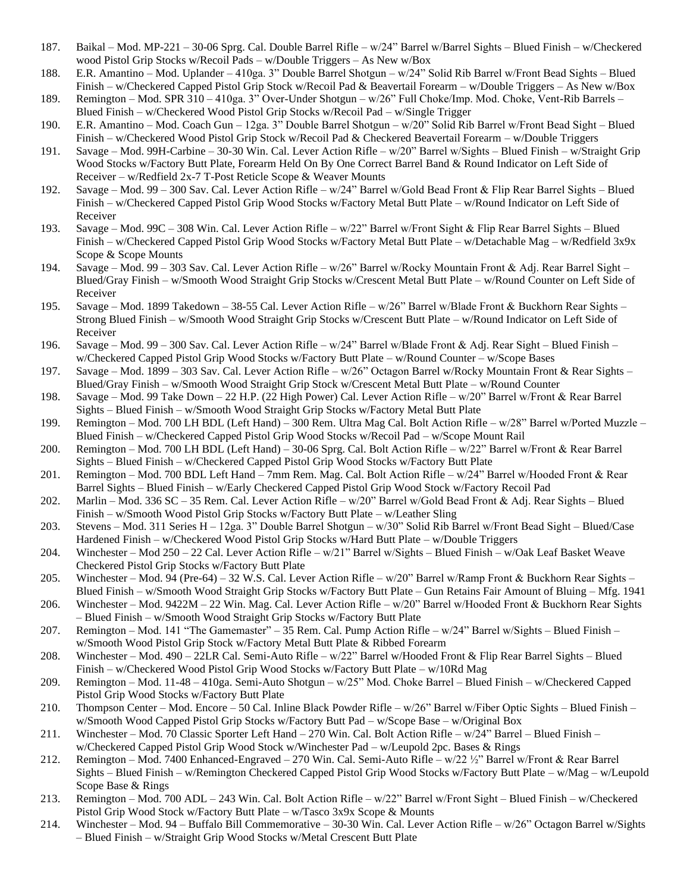- 187. Baikal Mod. MP-221 30-06 Sprg. Cal. Double Barrel Rifle w/24" Barrel w/Barrel Sights Blued Finish w/Checkered wood Pistol Grip Stocks w/Recoil Pads – w/Double Triggers – As New w/Box
- 188. E.R. Amantino Mod. Uplander 410ga. 3" Double Barrel Shotgun w/24" Solid Rib Barrel w/Front Bead Sights Blued Finish – w/Checkered Capped Pistol Grip Stock w/Recoil Pad & Beavertail Forearm – w/Double Triggers – As New w/Box
- 189. Remington Mod. SPR 310 410ga. 3" Over-Under Shotgun w/26" Full Choke/Imp. Mod. Choke, Vent-Rib Barrels Blued Finish – w/Checkered Wood Pistol Grip Stocks w/Recoil Pad – w/Single Trigger
- 190. E.R. Amantino Mod. Coach Gun 12ga. 3" Double Barrel Shotgun w/20" Solid Rib Barrel w/Front Bead Sight Blued Finish – w/Checkered Wood Pistol Grip Stock w/Recoil Pad & Checkered Beavertail Forearm – w/Double Triggers
- 191. Savage Mod. 99H-Carbine 30-30 Win. Cal. Lever Action Rifle w/20" Barrel w/Sights Blued Finish w/Straight Grip Wood Stocks w/Factory Butt Plate, Forearm Held On By One Correct Barrel Band & Round Indicator on Left Side of Receiver – w/Redfield 2x-7 T-Post Reticle Scope & Weaver Mounts
- 192. Savage Mod. 99 300 Sav. Cal. Lever Action Rifle w/24" Barrel w/Gold Bead Front & Flip Rear Barrel Sights Blued Finish – w/Checkered Capped Pistol Grip Wood Stocks w/Factory Metal Butt Plate – w/Round Indicator on Left Side of Receiver
- 193. Savage Mod. 99C 308 Win. Cal. Lever Action Rifle w/22" Barrel w/Front Sight & Flip Rear Barrel Sights Blued Finish – w/Checkered Capped Pistol Grip Wood Stocks w/Factory Metal Butt Plate – w/Detachable Mag – w/Redfield 3x9x Scope & Scope Mounts
- 194. Savage Mod. 99 303 Sav. Cal. Lever Action Rifle w/26" Barrel w/Rocky Mountain Front & Adj. Rear Barrel Sight Blued/Gray Finish – w/Smooth Wood Straight Grip Stocks w/Crescent Metal Butt Plate – w/Round Counter on Left Side of Receiver
- 195. Savage Mod. 1899 Takedown 38-55 Cal. Lever Action Rifle w/26" Barrel w/Blade Front & Buckhorn Rear Sights Strong Blued Finish – w/Smooth Wood Straight Grip Stocks w/Crescent Butt Plate – w/Round Indicator on Left Side of Receiver
- 196. Savage Mod. 99 300 Sav. Cal. Lever Action Rifle w/24" Barrel w/Blade Front & Adj. Rear Sight Blued Finish w/Checkered Capped Pistol Grip Wood Stocks w/Factory Butt Plate – w/Round Counter – w/Scope Bases
- 197. Savage Mod. 1899 303 Sav. Cal. Lever Action Rifle w/26" Octagon Barrel w/Rocky Mountain Front & Rear Sights Blued/Gray Finish – w/Smooth Wood Straight Grip Stock w/Crescent Metal Butt Plate – w/Round Counter
- 198. Savage Mod. 99 Take Down 22 H.P. (22 High Power) Cal. Lever Action Rifle w/20" Barrel w/Front & Rear Barrel Sights – Blued Finish – w/Smooth Wood Straight Grip Stocks w/Factory Metal Butt Plate
- 199. Remington Mod. 700 LH BDL (Left Hand) 300 Rem. Ultra Mag Cal. Bolt Action Rifle w/28" Barrel w/Ported Muzzle Blued Finish – w/Checkered Capped Pistol Grip Wood Stocks w/Recoil Pad – w/Scope Mount Rail
- 200. Remington Mod. 700 LH BDL (Left Hand) 30-06 Sprg. Cal. Bolt Action Rifle w/22" Barrel w/Front & Rear Barrel Sights – Blued Finish – w/Checkered Capped Pistol Grip Wood Stocks w/Factory Butt Plate
- 201. Remington Mod. 700 BDL Left Hand 7mm Rem. Mag. Cal. Bolt Action Rifle w/24" Barrel w/Hooded Front & Rear Barrel Sights – Blued Finish – w/Early Checkered Capped Pistol Grip Wood Stock w/Factory Recoil Pad
- 202. Marlin Mod. 336 SC 35 Rem. Cal. Lever Action Rifle w/20" Barrel w/Gold Bead Front & Adj. Rear Sights Blued Finish – w/Smooth Wood Pistol Grip Stocks w/Factory Butt Plate – w/Leather Sling
- 203. Stevens Mod. 311 Series H 12ga. 3" Double Barrel Shotgun w/30" Solid Rib Barrel w/Front Bead Sight Blued/Case Hardened Finish – w/Checkered Wood Pistol Grip Stocks w/Hard Butt Plate – w/Double Triggers
- 204. Winchester Mod 250 22 Cal. Lever Action Rifle w/21" Barrel w/Sights Blued Finish w/Oak Leaf Basket Weave Checkered Pistol Grip Stocks w/Factory Butt Plate
- 205. Winchester Mod. 94 (Pre-64) 32 W.S. Cal. Lever Action Rifle w/20" Barrel w/Ramp Front & Buckhorn Rear Sights Blued Finish – w/Smooth Wood Straight Grip Stocks w/Factory Butt Plate – Gun Retains Fair Amount of Bluing – Mfg. 1941
- 206. Winchester Mod. 9422M 22 Win. Mag. Cal. Lever Action Rifle w/20" Barrel w/Hooded Front & Buckhorn Rear Sights – Blued Finish – w/Smooth Wood Straight Grip Stocks w/Factory Butt Plate
- 207. Remington Mod. 141 "The Gamemaster" 35 Rem. Cal. Pump Action Rifle w/24" Barrel w/Sights Blued Finish w/Smooth Wood Pistol Grip Stock w/Factory Metal Butt Plate & Ribbed Forearm
- 208. Winchester Mod. 490 22LR Cal. Semi-Auto Rifle w/22" Barrel w/Hooded Front & Flip Rear Barrel Sights Blued Finish – w/Checkered Wood Pistol Grip Wood Stocks w/Factory Butt Plate – w/10Rd Mag
- 209. Remington Mod. 11-48 410ga. Semi-Auto Shotgun w/25" Mod. Choke Barrel Blued Finish w/Checkered Capped Pistol Grip Wood Stocks w/Factory Butt Plate
- 210. Thompson Center Mod. Encore 50 Cal. Inline Black Powder Rifle w/26" Barrel w/Fiber Optic Sights Blued Finish w/Smooth Wood Capped Pistol Grip Stocks w/Factory Butt Pad – w/Scope Base – w/Original Box
- 211. Winchester Mod. 70 Classic Sporter Left Hand 270 Win. Cal. Bolt Action Rifle w/24" Barrel Blued Finish w/Checkered Capped Pistol Grip Wood Stock w/Winchester Pad – w/Leupold 2pc. Bases & Rings
- 212. Remington Mod. 7400 Enhanced-Engraved 270 Win. Cal. Semi-Auto Rifle w/22 ½" Barrel w/Front & Rear Barrel Sights – Blued Finish – w/Remington Checkered Capped Pistol Grip Wood Stocks w/Factory Butt Plate – w/Mag – w/Leupold Scope Base & Rings
- 213. Remington Mod. 700 ADL 243 Win. Cal. Bolt Action Rifle w/22" Barrel w/Front Sight Blued Finish w/Checkered Pistol Grip Wood Stock w/Factory Butt Plate – w/Tasco 3x9x Scope & Mounts
- 214. Winchester Mod. 94 Buffalo Bill Commemorative 30-30 Win. Cal. Lever Action Rifle w/26" Octagon Barrel w/Sights – Blued Finish – w/Straight Grip Wood Stocks w/Metal Crescent Butt Plate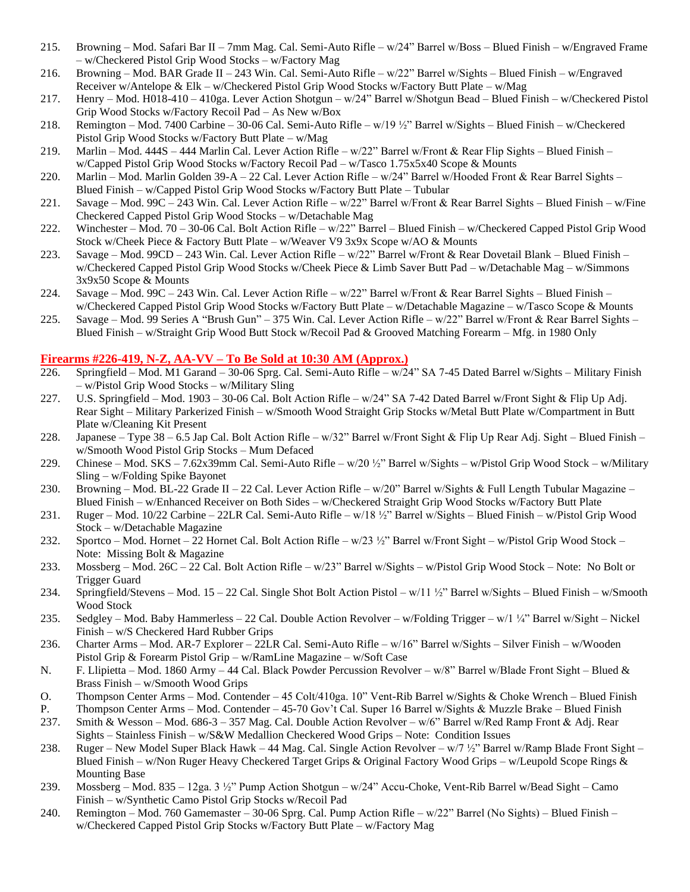- 215. Browning Mod. Safari Bar II 7mm Mag. Cal. Semi-Auto Rifle w/24" Barrel w/Boss Blued Finish w/Engraved Frame – w/Checkered Pistol Grip Wood Stocks – w/Factory Mag
- 216. Browning Mod. BAR Grade II 243 Win. Cal. Semi-Auto Rifle w/22" Barrel w/Sights Blued Finish w/Engraved Receiver w/Antelope & Elk – w/Checkered Pistol Grip Wood Stocks w/Factory Butt Plate – w/Mag
- 217. Henry Mod. H018-410 410ga. Lever Action Shotgun w/24" Barrel w/Shotgun Bead Blued Finish w/Checkered Pistol Grip Wood Stocks w/Factory Recoil Pad – As New w/Box
- 218. Remington Mod. 7400 Carbine 30-06 Cal. Semi-Auto Rifle w/19 ½" Barrel w/Sights Blued Finish w/Checkered Pistol Grip Wood Stocks w/Factory Butt Plate – w/Mag
- 219. Marlin Mod. 444S 444 Marlin Cal. Lever Action Rifle w/22" Barrel w/Front & Rear Flip Sights Blued Finish w/Capped Pistol Grip Wood Stocks w/Factory Recoil Pad – w/Tasco 1.75x5x40 Scope & Mounts
- 220. Marlin Mod. Marlin Golden 39-A 22 Cal. Lever Action Rifle w/24" Barrel w/Hooded Front & Rear Barrel Sights Blued Finish – w/Capped Pistol Grip Wood Stocks w/Factory Butt Plate – Tubular
- 221. Savage Mod. 99C 243 Win. Cal. Lever Action Rifle w/22" Barrel w/Front & Rear Barrel Sights Blued Finish w/Fine Checkered Capped Pistol Grip Wood Stocks – w/Detachable Mag
- 222. Winchester Mod. 70 30-06 Cal. Bolt Action Rifle w/22" Barrel Blued Finish w/Checkered Capped Pistol Grip Wood Stock w/Cheek Piece & Factory Butt Plate – w/Weaver V9 3x9x Scope w/AO & Mounts
- 223. Savage Mod. 99CD 243 Win. Cal. Lever Action Rifle w/22" Barrel w/Front & Rear Dovetail Blank Blued Finish w/Checkered Capped Pistol Grip Wood Stocks w/Cheek Piece & Limb Saver Butt Pad – w/Detachable Mag – w/Simmons 3x9x50 Scope & Mounts
- 224. Savage Mod. 99C 243 Win. Cal. Lever Action Rifle w/22" Barrel w/Front & Rear Barrel Sights Blued Finish w/Checkered Capped Pistol Grip Wood Stocks w/Factory Butt Plate – w/Detachable Magazine – w/Tasco Scope & Mounts
- 225. Savage Mod. 99 Series A "Brush Gun" 375 Win. Cal. Lever Action Rifle w/22" Barrel w/Front & Rear Barrel Sights Blued Finish – w/Straight Grip Wood Butt Stock w/Recoil Pad & Grooved Matching Forearm – Mfg. in 1980 Only

#### **Firearms #226-419, N-Z, AA-VV – To Be Sold at 10:30 AM (Approx.)**

- 226. Springfield Mod. M1 Garand 30-06 Sprg. Cal. Semi-Auto Rifle w/24" SA 7-45 Dated Barrel w/Sights Military Finish – w/Pistol Grip Wood Stocks – w/Military Sling
- 227. U.S. Springfield Mod. 1903 30-06 Cal. Bolt Action Rifle w/24" SA 7-42 Dated Barrel w/Front Sight & Flip Up Adj. Rear Sight – Military Parkerized Finish – w/Smooth Wood Straight Grip Stocks w/Metal Butt Plate w/Compartment in Butt Plate w/Cleaning Kit Present
- 228. Japanese Type 38 6.5 Jap Cal. Bolt Action Rifle w/32" Barrel w/Front Sight & Flip Up Rear Adj. Sight Blued Finish w/Smooth Wood Pistol Grip Stocks – Mum Defaced
- 229. Chinese Mod. SKS 7.62x39mm Cal. Semi-Auto Rifle w/20 ½" Barrel w/Sights w/Pistol Grip Wood Stock w/Military Sling – w/Folding Spike Bayonet
- 230. Browning Mod. BL-22 Grade II 22 Cal. Lever Action Rifle w/20" Barrel w/Sights & Full Length Tubular Magazine Blued Finish – w/Enhanced Receiver on Both Sides – w/Checkered Straight Grip Wood Stocks w/Factory Butt Plate
- 231. Ruger Mod. 10/22 Carbine 22LR Cal. Semi-Auto Rifle w/18 ½" Barrel w/Sights Blued Finish w/Pistol Grip Wood Stock – w/Detachable Magazine
- 232. Sportco Mod. Hornet 22 Hornet Cal. Bolt Action Rifle w/23 ½" Barrel w/Front Sight w/Pistol Grip Wood Stock Note: Missing Bolt & Magazine
- 233. Mossberg Mod. 26C 22 Cal. Bolt Action Rifle w/23" Barrel w/Sights w/Pistol Grip Wood Stock Note: No Bolt or Trigger Guard
- 234. Springfield/Stevens Mod. 15 22 Cal. Single Shot Bolt Action Pistol w/11 ½" Barrel w/Sights Blued Finish w/Smooth Wood Stock
- 235. Sedgley Mod. Baby Hammerless 22 Cal. Double Action Revolver w/Folding Trigger w/1 ¼" Barrel w/Sight Nickel Finish – w/S Checkered Hard Rubber Grips
- 236. Charter Arms Mod. AR-7 Explorer 22LR Cal. Semi-Auto Rifle w/16" Barrel w/Sights Silver Finish w/Wooden Pistol Grip & Forearm Pistol Grip – w/RamLine Magazine – w/Soft Case
- N. F. Llipietta Mod. 1860 Army 44 Cal. Black Powder Percussion Revolver w/8" Barrel w/Blade Front Sight Blued & Brass Finish – w/Smooth Wood Grips
- O. Thompson Center Arms Mod. Contender 45 Colt/410ga. 10" Vent-Rib Barrel w/Sights & Choke Wrench Blued Finish
- P. Thompson Center Arms Mod. Contender 45-70 Gov't Cal. Super 16 Barrel w/Sights & Muzzle Brake Blued Finish
- 237. Smith & Wesson Mod. 686-3 357 Mag. Cal. Double Action Revolver w/6" Barrel w/Red Ramp Front & Adj. Rear Sights – Stainless Finish – w/S&W Medallion Checkered Wood Grips – Note: Condition Issues
- 238. Ruger New Model Super Black Hawk 44 Mag. Cal. Single Action Revolver w/7 ½" Barrel w/Ramp Blade Front Sight Blued Finish – w/Non Ruger Heavy Checkered Target Grips & Original Factory Wood Grips – w/Leupold Scope Rings & Mounting Base
- 239. Mossberg Mod. 835 12ga. 3 ½" Pump Action Shotgun w/24" Accu-Choke, Vent-Rib Barrel w/Bead Sight Camo Finish – w/Synthetic Camo Pistol Grip Stocks w/Recoil Pad
- 240. Remington Mod. 760 Gamemaster 30-06 Sprg. Cal. Pump Action Rifle w/22" Barrel (No Sights) Blued Finish w/Checkered Capped Pistol Grip Stocks w/Factory Butt Plate – w/Factory Mag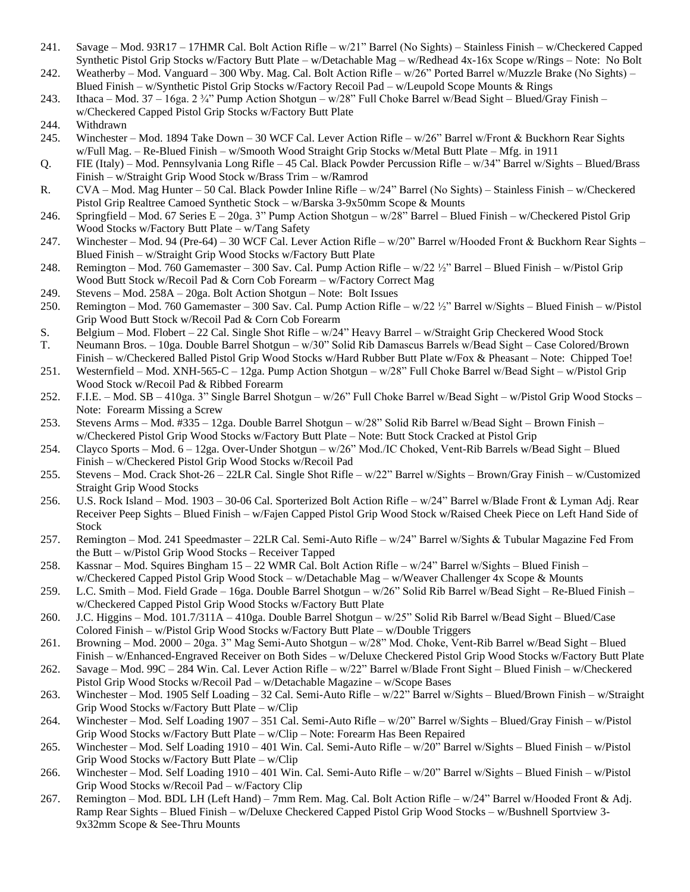- 241. Savage Mod. 93R17 17HMR Cal. Bolt Action Rifle w/21" Barrel (No Sights) Stainless Finish w/Checkered Capped Synthetic Pistol Grip Stocks w/Factory Butt Plate – w/Detachable Mag – w/Redhead 4x-16x Scope w/Rings – Note: No Bolt
- 242. Weatherby Mod. Vanguard 300 Wby. Mag. Cal. Bolt Action Rifle w/26" Ported Barrel w/Muzzle Brake (No Sights) Blued Finish – w/Synthetic Pistol Grip Stocks w/Factory Recoil Pad – w/Leupold Scope Mounts & Rings
- 243. Ithaca Mod. 37 16ga. 2 ¾" Pump Action Shotgun w/28" Full Choke Barrel w/Bead Sight Blued/Gray Finish w/Checkered Capped Pistol Grip Stocks w/Factory Butt Plate
- 244. Withdrawn
- 245. Winchester Mod. 1894 Take Down 30 WCF Cal. Lever Action Rifle w/26" Barrel w/Front & Buckhorn Rear Sights w/Full Mag. – Re-Blued Finish – w/Smooth Wood Straight Grip Stocks w/Metal Butt Plate – Mfg. in 1911
- Q. FIE (Italy) Mod. Pennsylvania Long Rifle 45 Cal. Black Powder Percussion Rifle w/34" Barrel w/Sights Blued/Brass Finish – w/Straight Grip Wood Stock w/Brass Trim – w/Ramrod
- R. CVA Mod. Mag Hunter 50 Cal. Black Powder Inline Rifle w/24" Barrel (No Sights) Stainless Finish w/Checkered Pistol Grip Realtree Camoed Synthetic Stock – w/Barska 3-9x50mm Scope & Mounts
- 246. Springfield Mod. 67 Series E 20ga. 3" Pump Action Shotgun w/28" Barrel Blued Finish w/Checkered Pistol Grip Wood Stocks w/Factory Butt Plate – w/Tang Safety
- 247. Winchester Mod. 94 (Pre-64) 30 WCF Cal. Lever Action Rifle w/20" Barrel w/Hooded Front & Buckhorn Rear Sights Blued Finish – w/Straight Grip Wood Stocks w/Factory Butt Plate
- 248. Remington Mod. 760 Gamemaster 300 Sav. Cal. Pump Action Rifle w/22 ½" Barrel Blued Finish w/Pistol Grip Wood Butt Stock w/Recoil Pad & Corn Cob Forearm – w/Factory Correct Mag
- 249. Stevens Mod. 258A 20ga. Bolt Action Shotgun Note: Bolt Issues
- 250. Remington Mod. 760 Gamemaster 300 Sav. Cal. Pump Action Rifle w/22 ½" Barrel w/Sights Blued Finish w/Pistol Grip Wood Butt Stock w/Recoil Pad & Corn Cob Forearm
- S. Belgium Mod. Flobert 22 Cal. Single Shot Rifle w/24" Heavy Barrel w/Straight Grip Checkered Wood Stock
- T. Neumann Bros. 10ga. Double Barrel Shotgun w/30" Solid Rib Damascus Barrels w/Bead Sight Case Colored/Brown Finish – w/Checkered Balled Pistol Grip Wood Stocks w/Hard Rubber Butt Plate w/Fox & Pheasant – Note: Chipped Toe!
- 251. Westernfield Mod. XNH-565-C 12ga. Pump Action Shotgun w/28" Full Choke Barrel w/Bead Sight w/Pistol Grip Wood Stock w/Recoil Pad & Ribbed Forearm
- 252. F.I.E. Mod. SB 410ga. 3" Single Barrel Shotgun w/26" Full Choke Barrel w/Bead Sight w/Pistol Grip Wood Stocks Note: Forearm Missing a Screw
- 253. Stevens Arms Mod. #335 12ga. Double Barrel Shotgun w/28" Solid Rib Barrel w/Bead Sight Brown Finish w/Checkered Pistol Grip Wood Stocks w/Factory Butt Plate – Note: Butt Stock Cracked at Pistol Grip
- 254. Clayco Sports Mod. 6 12ga. Over-Under Shotgun w/26" Mod./IC Choked, Vent-Rib Barrels w/Bead Sight Blued Finish – w/Checkered Pistol Grip Wood Stocks w/Recoil Pad
- 255. Stevens Mod. Crack Shot-26 22LR Cal. Single Shot Rifle w/22" Barrel w/Sights Brown/Gray Finish w/Customized Straight Grip Wood Stocks
- 256. U.S. Rock Island Mod. 1903 30-06 Cal. Sporterized Bolt Action Rifle w/24" Barrel w/Blade Front & Lyman Adj. Rear Receiver Peep Sights – Blued Finish – w/Fajen Capped Pistol Grip Wood Stock w/Raised Cheek Piece on Left Hand Side of Stock
- 257. Remington Mod. 241 Speedmaster 22LR Cal. Semi-Auto Rifle w/24" Barrel w/Sights & Tubular Magazine Fed From the Butt – w/Pistol Grip Wood Stocks – Receiver Tapped
- 258. Kassnar Mod. Squires Bingham 15 22 WMR Cal. Bolt Action Rifle w/24" Barrel w/Sights Blued Finish w/Checkered Capped Pistol Grip Wood Stock – w/Detachable Mag – w/Weaver Challenger 4x Scope & Mounts
- 259. L.C. Smith Mod. Field Grade 16ga. Double Barrel Shotgun w/26" Solid Rib Barrel w/Bead Sight Re-Blued Finish w/Checkered Capped Pistol Grip Wood Stocks w/Factory Butt Plate
- 260. J.C. Higgins Mod. 101.7/311A 410ga. Double Barrel Shotgun w/25" Solid Rib Barrel w/Bead Sight Blued/Case Colored Finish – w/Pistol Grip Wood Stocks w/Factory Butt Plate – w/Double Triggers
- 261. Browning Mod. 2000 20ga. 3" Mag Semi-Auto Shotgun w/28" Mod. Choke, Vent-Rib Barrel w/Bead Sight Blued Finish – w/Enhanced-Engraved Receiver on Both Sides – w/Deluxe Checkered Pistol Grip Wood Stocks w/Factory Butt Plate
- 262. Savage Mod. 99C 284 Win. Cal. Lever Action Rifle w/22" Barrel w/Blade Front Sight Blued Finish w/Checkered Pistol Grip Wood Stocks w/Recoil Pad – w/Detachable Magazine – w/Scope Bases
- 263. Winchester Mod. 1905 Self Loading 32 Cal. Semi-Auto Rifle w/22" Barrel w/Sights Blued/Brown Finish w/Straight Grip Wood Stocks w/Factory Butt Plate – w/Clip
- 264. Winchester Mod. Self Loading 1907 351 Cal. Semi-Auto Rifle w/20" Barrel w/Sights Blued/Gray Finish w/Pistol Grip Wood Stocks w/Factory Butt Plate – w/Clip – Note: Forearm Has Been Repaired
- 265. Winchester Mod. Self Loading 1910 401 Win. Cal. Semi-Auto Rifle w/20" Barrel w/Sights Blued Finish w/Pistol Grip Wood Stocks w/Factory Butt Plate – w/Clip
- 266. Winchester Mod. Self Loading 1910 401 Win. Cal. Semi-Auto Rifle w/20" Barrel w/Sights Blued Finish w/Pistol Grip Wood Stocks w/Recoil Pad – w/Factory Clip
- 267. Remington Mod. BDL LH (Left Hand) 7mm Rem. Mag. Cal. Bolt Action Rifle w/24" Barrel w/Hooded Front & Adj. Ramp Rear Sights – Blued Finish – w/Deluxe Checkered Capped Pistol Grip Wood Stocks – w/Bushnell Sportview 3- 9x32mm Scope & See-Thru Mounts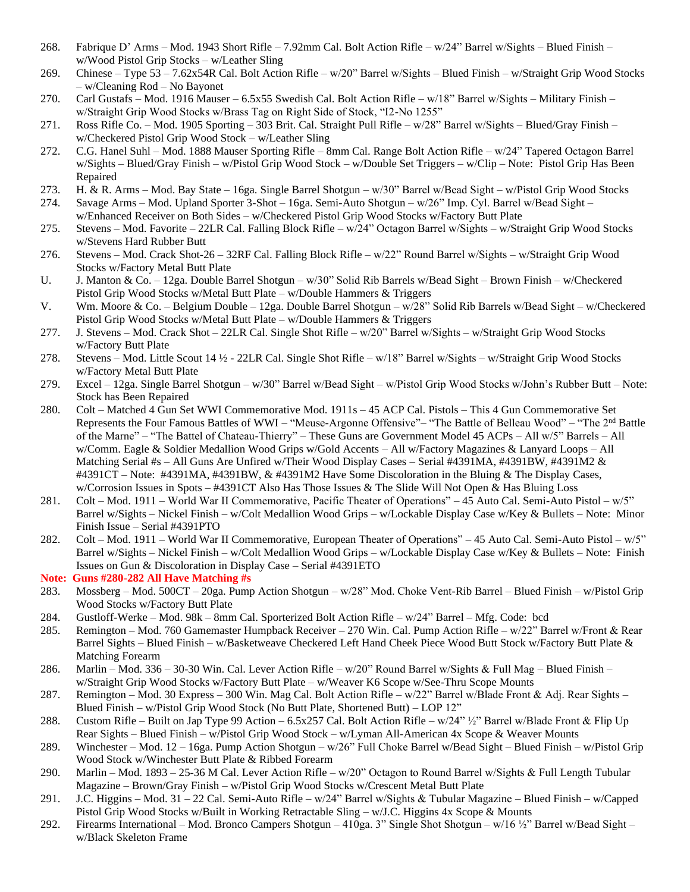- 268. Fabrique D' Arms Mod. 1943 Short Rifle 7.92mm Cal. Bolt Action Rifle w/24" Barrel w/Sights Blued Finish w/Wood Pistol Grip Stocks – w/Leather Sling
- 269. Chinese Type 53 7.62x54R Cal. Bolt Action Rifle w/20" Barrel w/Sights Blued Finish w/Straight Grip Wood Stocks – w/Cleaning Rod – No Bayonet
- 270. Carl Gustafs Mod. 1916 Mauser 6.5x55 Swedish Cal. Bolt Action Rifle w/18" Barrel w/Sights Military Finish w/Straight Grip Wood Stocks w/Brass Tag on Right Side of Stock, "I2-No 1255"
- 271. Ross Rifle Co. Mod. 1905 Sporting 303 Brit. Cal. Straight Pull Rifle w/28" Barrel w/Sights Blued/Gray Finish w/Checkered Pistol Grip Wood Stock – w/Leather Sling
- 272. C.G. Hanel Suhl Mod. 1888 Mauser Sporting Rifle 8mm Cal. Range Bolt Action Rifle w/24" Tapered Octagon Barrel w/Sights – Blued/Gray Finish – w/Pistol Grip Wood Stock – w/Double Set Triggers – w/Clip – Note: Pistol Grip Has Been Repaired
- 273. H. & R. Arms Mod. Bay State 16ga. Single Barrel Shotgun w/30" Barrel w/Bead Sight w/Pistol Grip Wood Stocks
- 274. Savage Arms Mod. Upland Sporter 3-Shot 16ga. Semi-Auto Shotgun w/26" Imp. Cyl. Barrel w/Bead Sight w/Enhanced Receiver on Both Sides – w/Checkered Pistol Grip Wood Stocks w/Factory Butt Plate
- 275. Stevens Mod. Favorite 22LR Cal. Falling Block Rifle w/24" Octagon Barrel w/Sights w/Straight Grip Wood Stocks w/Stevens Hard Rubber Butt
- 276. Stevens Mod. Crack Shot-26 32RF Cal. Falling Block Rifle w/22" Round Barrel w/Sights w/Straight Grip Wood Stocks w/Factory Metal Butt Plate
- U. J. Manton & Co. 12ga. Double Barrel Shotgun w/30" Solid Rib Barrels w/Bead Sight Brown Finish w/Checkered Pistol Grip Wood Stocks w/Metal Butt Plate – w/Double Hammers & Triggers
- V. Wm. Moore & Co. Belgium Double 12ga. Double Barrel Shotgun w/28" Solid Rib Barrels w/Bead Sight w/Checkered Pistol Grip Wood Stocks w/Metal Butt Plate – w/Double Hammers & Triggers
- 277. J. Stevens Mod. Crack Shot 22LR Cal. Single Shot Rifle w/20" Barrel w/Sights w/Straight Grip Wood Stocks w/Factory Butt Plate
- 278. Stevens Mod. Little Scout 14 ½ 22LR Cal. Single Shot Rifle w/18" Barrel w/Sights w/Straight Grip Wood Stocks w/Factory Metal Butt Plate
- 279. Excel 12ga. Single Barrel Shotgun w/30" Barrel w/Bead Sight w/Pistol Grip Wood Stocks w/John's Rubber Butt Note: Stock has Been Repaired
- 280. Colt Matched 4 Gun Set WWI Commemorative Mod. 1911s 45 ACP Cal. Pistols This 4 Gun Commemorative Set Represents the Four Famous Battles of WWI - "Meuse-Argonne Offensive"- "The Battle of Belleau Wood" - "The 2<sup>nd</sup> Battle of the Marne" – "The Battel of Chateau-Thierry" – These Guns are Government Model 45 ACPs – All w/5" Barrels – All w/Comm. Eagle & Soldier Medallion Wood Grips w/Gold Accents – All w/Factory Magazines & Lanyard Loops – All Matching Serial #s – All Guns Are Unfired w/Their Wood Display Cases – Serial #4391MA, #4391BW, #4391M2 & #4391CT – Note: #4391MA, #4391BW, & #4391M2 Have Some Discoloration in the Bluing & The Display Cases, w/Corrosion Issues in Spots – #4391CT Also Has Those Issues & The Slide Will Not Open & Has Bluing Loss
- 281. Colt Mod. 1911 World War II Commemorative, Pacific Theater of Operations" 45 Auto Cal. Semi-Auto Pistol w/5" Barrel w/Sights – Nickel Finish – w/Colt Medallion Wood Grips – w/Lockable Display Case w/Key & Bullets – Note: Minor Finish Issue – Serial #4391PTO
- 282. Colt Mod. 1911 World War II Commemorative, European Theater of Operations" 45 Auto Cal. Semi-Auto Pistol w/5" Barrel w/Sights – Nickel Finish – w/Colt Medallion Wood Grips – w/Lockable Display Case w/Key & Bullets – Note: Finish Issues on Gun & Discoloration in Display Case – Serial #4391ETO

#### **Note: Guns #280-282 All Have Matching #s**

- 283. Mossberg Mod. 500CT 20ga. Pump Action Shotgun w/28" Mod. Choke Vent-Rib Barrel Blued Finish w/Pistol Grip Wood Stocks w/Factory Butt Plate
- 284. Gustloff-Werke Mod. 98k 8mm Cal. Sporterized Bolt Action Rifle w/24" Barrel Mfg. Code: bcd
- 285. Remington Mod. 760 Gamemaster Humpback Receiver 270 Win. Cal. Pump Action Rifle w/22" Barrel w/Front & Rear Barrel Sights – Blued Finish – w/Basketweave Checkered Left Hand Cheek Piece Wood Butt Stock w/Factory Butt Plate & Matching Forearm
- 286. Marlin Mod. 336 30-30 Win. Cal. Lever Action Rifle w/20" Round Barrel w/Sights & Full Mag Blued Finish w/Straight Grip Wood Stocks w/Factory Butt Plate – w/Weaver K6 Scope w/See-Thru Scope Mounts
- 287. Remington Mod. 30 Express 300 Win. Mag Cal. Bolt Action Rifle w/22" Barrel w/Blade Front & Adj. Rear Sights Blued Finish – w/Pistol Grip Wood Stock (No Butt Plate, Shortened Butt) – LOP 12"
- 288. Custom Rifle Built on Jap Type 99 Action 6.5x257 Cal. Bolt Action Rifle w/24" ½" Barrel w/Blade Front & Flip Up Rear Sights – Blued Finish – w/Pistol Grip Wood Stock – w/Lyman All-American 4x Scope & Weaver Mounts
- 289. Winchester Mod. 12 16ga. Pump Action Shotgun w/26" Full Choke Barrel w/Bead Sight Blued Finish w/Pistol Grip Wood Stock w/Winchester Butt Plate & Ribbed Forearm
- 290. Marlin Mod. 1893 25-36 M Cal. Lever Action Rifle w/20" Octagon to Round Barrel w/Sights & Full Length Tubular Magazine – Brown/Gray Finish – w/Pistol Grip Wood Stocks w/Crescent Metal Butt Plate
- 291. J.C. Higgins Mod. 31 22 Cal. Semi-Auto Rifle w/24" Barrel w/Sights & Tubular Magazine Blued Finish w/Capped Pistol Grip Wood Stocks w/Built in Working Retractable Sling – w/J.C. Higgins 4x Scope & Mounts
- 292. Firearms International Mod. Bronco Campers Shotgun 410ga. 3" Single Shot Shotgun w/16 ½" Barrel w/Bead Sight w/Black Skeleton Frame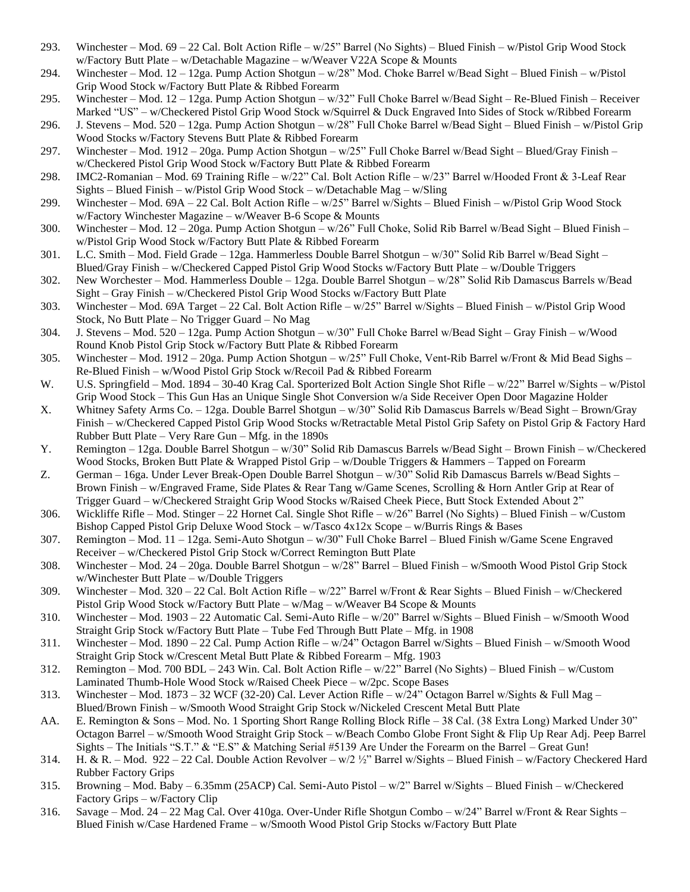- 293. Winchester Mod. 69 22 Cal. Bolt Action Rifle w/25" Barrel (No Sights) Blued Finish w/Pistol Grip Wood Stock w/Factory Butt Plate – w/Detachable Magazine – w/Weaver V22A Scope & Mounts
- 294. Winchester Mod. 12 12ga. Pump Action Shotgun w/28" Mod. Choke Barrel w/Bead Sight Blued Finish w/Pistol Grip Wood Stock w/Factory Butt Plate & Ribbed Forearm
- 295. Winchester Mod. 12 12ga. Pump Action Shotgun w/32" Full Choke Barrel w/Bead Sight Re-Blued Finish Receiver Marked "US" – w/Checkered Pistol Grip Wood Stock w/Squirrel & Duck Engraved Into Sides of Stock w/Ribbed Forearm
- 296. J. Stevens Mod. 520 12ga. Pump Action Shotgun w/28" Full Choke Barrel w/Bead Sight Blued Finish w/Pistol Grip Wood Stocks w/Factory Stevens Butt Plate & Ribbed Forearm
- 297. Winchester Mod. 1912 20ga. Pump Action Shotgun w/25" Full Choke Barrel w/Bead Sight Blued/Gray Finish w/Checkered Pistol Grip Wood Stock w/Factory Butt Plate & Ribbed Forearm
- 298. IMC2-Romanian Mod. 69 Training Rifle w/22" Cal. Bolt Action Rifle w/23" Barrel w/Hooded Front & 3-Leaf Rear Sights – Blued Finish – w/Pistol Grip Wood Stock – w/Detachable Mag – w/Sling
- 299. Winchester Mod. 69A 22 Cal. Bolt Action Rifle w/25" Barrel w/Sights Blued Finish w/Pistol Grip Wood Stock w/Factory Winchester Magazine – w/Weaver B-6 Scope & Mounts
- 300. Winchester Mod. 12 20ga. Pump Action Shotgun w/26" Full Choke, Solid Rib Barrel w/Bead Sight Blued Finish w/Pistol Grip Wood Stock w/Factory Butt Plate & Ribbed Forearm
- 301. L.C. Smith Mod. Field Grade 12ga. Hammerless Double Barrel Shotgun w/30" Solid Rib Barrel w/Bead Sight Blued/Gray Finish – w/Checkered Capped Pistol Grip Wood Stocks w/Factory Butt Plate – w/Double Triggers
- 302. New Worchester Mod. Hammerless Double 12ga. Double Barrel Shotgun w/28" Solid Rib Damascus Barrels w/Bead Sight – Gray Finish – w/Checkered Pistol Grip Wood Stocks w/Factory Butt Plate
- 303. Winchester Mod. 69A Target 22 Cal. Bolt Action Rifle w/25" Barrel w/Sights Blued Finish w/Pistol Grip Wood Stock, No Butt Plate – No Trigger Guard – No Mag
- 304. J. Stevens Mod. 520 12ga. Pump Action Shotgun w/30" Full Choke Barrel w/Bead Sight Gray Finish w/Wood Round Knob Pistol Grip Stock w/Factory Butt Plate & Ribbed Forearm
- 305. Winchester Mod. 1912 20ga. Pump Action Shotgun w/25" Full Choke, Vent-Rib Barrel w/Front & Mid Bead Sighs Re-Blued Finish – w/Wood Pistol Grip Stock w/Recoil Pad & Ribbed Forearm
- W. U.S. Springfield Mod. 1894 30-40 Krag Cal. Sporterized Bolt Action Single Shot Rifle w/22" Barrel w/Sights w/Pistol Grip Wood Stock – This Gun Has an Unique Single Shot Conversion w/a Side Receiver Open Door Magazine Holder
- X. Whitney Safety Arms Co. 12ga. Double Barrel Shotgun w/30" Solid Rib Damascus Barrels w/Bead Sight Brown/Gray Finish – w/Checkered Capped Pistol Grip Wood Stocks w/Retractable Metal Pistol Grip Safety on Pistol Grip & Factory Hard Rubber Butt Plate – Very Rare Gun – Mfg. in the 1890s
- Y. Remington 12ga. Double Barrel Shotgun w/30" Solid Rib Damascus Barrels w/Bead Sight Brown Finish w/Checkered Wood Stocks, Broken Butt Plate & Wrapped Pistol Grip – w/Double Triggers & Hammers – Tapped on Forearm
- Z. German 16ga. Under Lever Break-Open Double Barrel Shotgun w/30" Solid Rib Damascus Barrels w/Bead Sights Brown Finish – w/Engraved Frame, Side Plates & Rear Tang w/Game Scenes, Scrolling & Horn Antler Grip at Rear of Trigger Guard – w/Checkered Straight Grip Wood Stocks w/Raised Cheek Piece, Butt Stock Extended About 2"
- 306. Wickliffe Rifle Mod. Stinger 22 Hornet Cal. Single Shot Rifle w/26" Barrel (No Sights) Blued Finish w/Custom Bishop Capped Pistol Grip Deluxe Wood Stock – w/Tasco 4x12x Scope – w/Burris Rings & Bases
- 307. Remington Mod. 11 12ga. Semi-Auto Shotgun w/30" Full Choke Barrel Blued Finish w/Game Scene Engraved Receiver – w/Checkered Pistol Grip Stock w/Correct Remington Butt Plate
- 308. Winchester Mod. 24 20ga. Double Barrel Shotgun w/28" Barrel Blued Finish w/Smooth Wood Pistol Grip Stock w/Winchester Butt Plate – w/Double Triggers
- 309. Winchester Mod. 320 22 Cal. Bolt Action Rifle w/22" Barrel w/Front & Rear Sights Blued Finish w/Checkered Pistol Grip Wood Stock w/Factory Butt Plate – w/Mag – w/Weaver B4 Scope & Mounts
- 310. Winchester Mod. 1903 22 Automatic Cal. Semi-Auto Rifle w/20" Barrel w/Sights Blued Finish w/Smooth Wood Straight Grip Stock w/Factory Butt Plate – Tube Fed Through Butt Plate – Mfg. in 1908
- 311. Winchester Mod. 1890 22 Cal. Pump Action Rifle w/24" Octagon Barrel w/Sights Blued Finish w/Smooth Wood Straight Grip Stock w/Crescent Metal Butt Plate & Ribbed Forearm – Mfg. 1903
- 312. Remington Mod. 700 BDL 243 Win. Cal. Bolt Action Rifle w/22" Barrel (No Sights) Blued Finish w/Custom Laminated Thumb-Hole Wood Stock w/Raised Cheek Piece – w/2pc. Scope Bases
- 313. Winchester Mod. 1873 32 WCF (32-20) Cal. Lever Action Rifle w/24" Octagon Barrel w/Sights & Full Mag Blued/Brown Finish – w/Smooth Wood Straight Grip Stock w/Nickeled Crescent Metal Butt Plate
- AA. E. Remington & Sons Mod. No. 1 Sporting Short Range Rolling Block Rifle 38 Cal. (38 Extra Long) Marked Under 30" Octagon Barrel – w/Smooth Wood Straight Grip Stock – w/Beach Combo Globe Front Sight & Flip Up Rear Adj. Peep Barrel Sights – The Initials "S.T." & "E.S" & Matching Serial #5139 Are Under the Forearm on the Barrel – Great Gun!
- 314. H. & R. Mod. 922 22 Cal. Double Action Revolver w/2 ½" Barrel w/Sights Blued Finish w/Factory Checkered Hard Rubber Factory Grips
- 315. Browning Mod. Baby 6.35mm (25ACP) Cal. Semi-Auto Pistol w/2" Barrel w/Sights Blued Finish w/Checkered Factory Grips – w/Factory Clip
- 316. Savage Mod. 24 22 Mag Cal. Over 410ga. Over-Under Rifle Shotgun Combo w/24" Barrel w/Front & Rear Sights Blued Finish w/Case Hardened Frame – w/Smooth Wood Pistol Grip Stocks w/Factory Butt Plate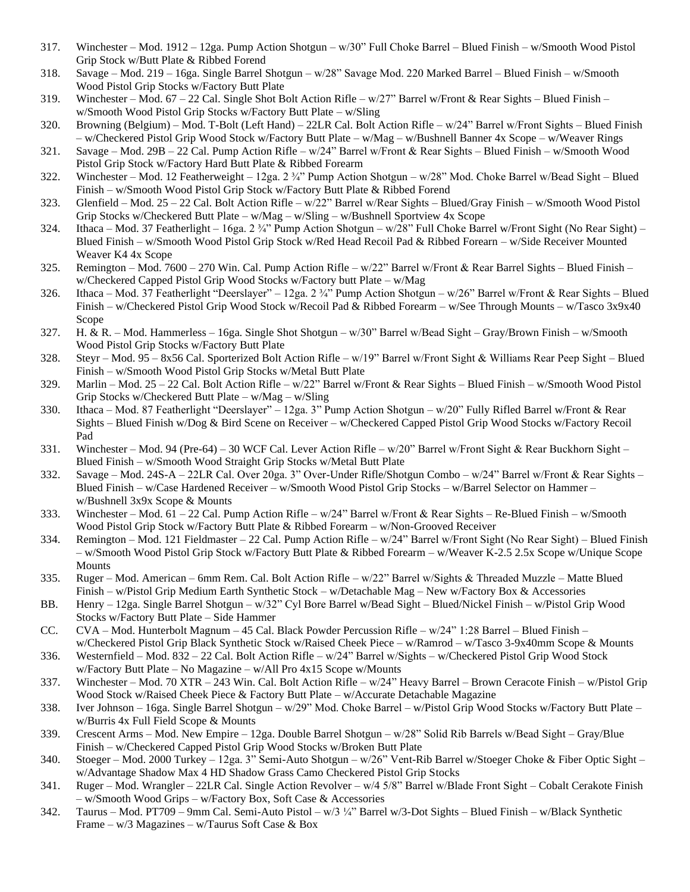- 317. Winchester Mod. 1912 12ga. Pump Action Shotgun w/30" Full Choke Barrel Blued Finish w/Smooth Wood Pistol Grip Stock w/Butt Plate & Ribbed Forend
- 318. Savage Mod. 219 16ga. Single Barrel Shotgun w/28" Savage Mod. 220 Marked Barrel Blued Finish w/Smooth Wood Pistol Grip Stocks w/Factory Butt Plate
- 319. Winchester Mod. 67 22 Cal. Single Shot Bolt Action Rifle  $w/27$ " Barrel w/Front & Rear Sights Blued Finish w/Smooth Wood Pistol Grip Stocks w/Factory Butt Plate – w/Sling
- 320. Browning (Belgium) Mod. T-Bolt (Left Hand) 22LR Cal. Bolt Action Rifle w/24" Barrel w/Front Sights Blued Finish – w/Checkered Pistol Grip Wood Stock w/Factory Butt Plate – w/Mag – w/Bushnell Banner 4x Scope – w/Weaver Rings
- 321. Savage Mod. 29B 22 Cal. Pump Action Rifle w/24" Barrel w/Front & Rear Sights Blued Finish w/Smooth Wood Pistol Grip Stock w/Factory Hard Butt Plate & Ribbed Forearm
- 322. Winchester Mod. 12 Featherweight 12ga. 2 ¾" Pump Action Shotgun w/28" Mod. Choke Barrel w/Bead Sight Blued Finish – w/Smooth Wood Pistol Grip Stock w/Factory Butt Plate & Ribbed Forend
- 323. Glenfield Mod. 25 22 Cal. Bolt Action Rifle w/22" Barrel w/Rear Sights Blued/Gray Finish w/Smooth Wood Pistol Grip Stocks w/Checkered Butt Plate – w/Mag – w/Sling – w/Bushnell Sportview 4x Scope
- 324. Ithaca Mod. 37 Featherlight 16ga. 2 ¾" Pump Action Shotgun w/28" Full Choke Barrel w/Front Sight (No Rear Sight) Blued Finish – w/Smooth Wood Pistol Grip Stock w/Red Head Recoil Pad & Ribbed Forearn – w/Side Receiver Mounted Weaver K4 4x Scope
- 325. Remington Mod. 7600 270 Win. Cal. Pump Action Rifle w/22" Barrel w/Front & Rear Barrel Sights Blued Finish w/Checkered Capped Pistol Grip Wood Stocks w/Factory butt Plate – w/Mag
- 326. Ithaca Mod. 37 Featherlight "Deerslayer" 12ga. 2 ¾" Pump Action Shotgun w/26" Barrel w/Front & Rear Sights Blued Finish – w/Checkered Pistol Grip Wood Stock w/Recoil Pad & Ribbed Forearm – w/See Through Mounts – w/Tasco 3x9x40 Scope
- 327. H. & R. Mod. Hammerless 16ga. Single Shot Shotgun w/30" Barrel w/Bead Sight Gray/Brown Finish w/Smooth Wood Pistol Grip Stocks w/Factory Butt Plate
- 328. Steyr Mod. 95 8x56 Cal. Sporterized Bolt Action Rifle w/19" Barrel w/Front Sight & Williams Rear Peep Sight Blued Finish – w/Smooth Wood Pistol Grip Stocks w/Metal Butt Plate
- 329. Marlin Mod. 25 22 Cal. Bolt Action Rifle w/22" Barrel w/Front & Rear Sights Blued Finish w/Smooth Wood Pistol Grip Stocks w/Checkered Butt Plate – w/Mag – w/Sling
- 330. Ithaca Mod. 87 Featherlight "Deerslayer" 12ga. 3" Pump Action Shotgun w/20" Fully Rifled Barrel w/Front & Rear Sights – Blued Finish w/Dog & Bird Scene on Receiver – w/Checkered Capped Pistol Grip Wood Stocks w/Factory Recoil Pad
- 331. Winchester Mod. 94 (Pre-64) 30 WCF Cal. Lever Action Rifle w/20" Barrel w/Front Sight & Rear Buckhorn Sight Blued Finish – w/Smooth Wood Straight Grip Stocks w/Metal Butt Plate
- 332. Savage Mod. 24S-A 22LR Cal. Over 20ga. 3" Over-Under Rifle/Shotgun Combo w/24" Barrel w/Front & Rear Sights Blued Finish – w/Case Hardened Receiver – w/Smooth Wood Pistol Grip Stocks – w/Barrel Selector on Hammer – w/Bushnell 3x9x Scope & Mounts
- 333. Winchester Mod. 61 22 Cal. Pump Action Rifle w/24" Barrel w/Front & Rear Sights Re-Blued Finish w/Smooth Wood Pistol Grip Stock w/Factory Butt Plate & Ribbed Forearm – w/Non-Grooved Receiver
- 334. Remington Mod. 121 Fieldmaster 22 Cal. Pump Action Rifle w/24" Barrel w/Front Sight (No Rear Sight) Blued Finish – w/Smooth Wood Pistol Grip Stock w/Factory Butt Plate & Ribbed Forearm – w/Weaver K-2.5 2.5x Scope w/Unique Scope Mounts
- 335. Ruger Mod. American 6mm Rem. Cal. Bolt Action Rifle w/22" Barrel w/Sights & Threaded Muzzle Matte Blued Finish – w/Pistol Grip Medium Earth Synthetic Stock – w/Detachable Mag – New w/Factory Box & Accessories
- BB. Henry 12ga. Single Barrel Shotgun w/32" Cyl Bore Barrel w/Bead Sight Blued/Nickel Finish w/Pistol Grip Wood Stocks w/Factory Butt Plate – Side Hammer
- CC. CVA Mod. Hunterbolt Magnum 45 Cal. Black Powder Percussion Rifle w/24" 1:28 Barrel Blued Finish w/Checkered Pistol Grip Black Synthetic Stock w/Raised Cheek Piece – w/Ramrod – w/Tasco 3-9x40mm Scope & Mounts
- 336. Westernfield Mod. 832 22 Cal. Bolt Action Rifle w/24" Barrel w/Sights w/Checkered Pistol Grip Wood Stock w/Factory Butt Plate – No Magazine – w/All Pro 4x15 Scope w/Mounts
- 337. Winchester Mod. 70 XTR 243 Win. Cal. Bolt Action Rifle w/24" Heavy Barrel Brown Ceracote Finish w/Pistol Grip Wood Stock w/Raised Cheek Piece & Factory Butt Plate – w/Accurate Detachable Magazine
- 338. Iver Johnson 16ga. Single Barrel Shotgun w/29" Mod. Choke Barrel w/Pistol Grip Wood Stocks w/Factory Butt Plate w/Burris 4x Full Field Scope & Mounts
- 339. Crescent Arms Mod. New Empire 12ga. Double Barrel Shotgun w/28" Solid Rib Barrels w/Bead Sight Gray/Blue Finish – w/Checkered Capped Pistol Grip Wood Stocks w/Broken Butt Plate
- 340. Stoeger Mod. 2000 Turkey 12ga. 3" Semi-Auto Shotgun w/26" Vent-Rib Barrel w/Stoeger Choke & Fiber Optic Sight w/Advantage Shadow Max 4 HD Shadow Grass Camo Checkered Pistol Grip Stocks
- 341. Ruger Mod. Wrangler 22LR Cal. Single Action Revolver w/4 5/8" Barrel w/Blade Front Sight Cobalt Cerakote Finish – w/Smooth Wood Grips – w/Factory Box, Soft Case & Accessories
- 342. Taurus Mod. PT709 9mm Cal. Semi-Auto Pistol w/3 ¼" Barrel w/3-Dot Sights Blued Finish w/Black Synthetic Frame –  $w/3$  Magazines –  $w/T$ aurus Soft Case & Box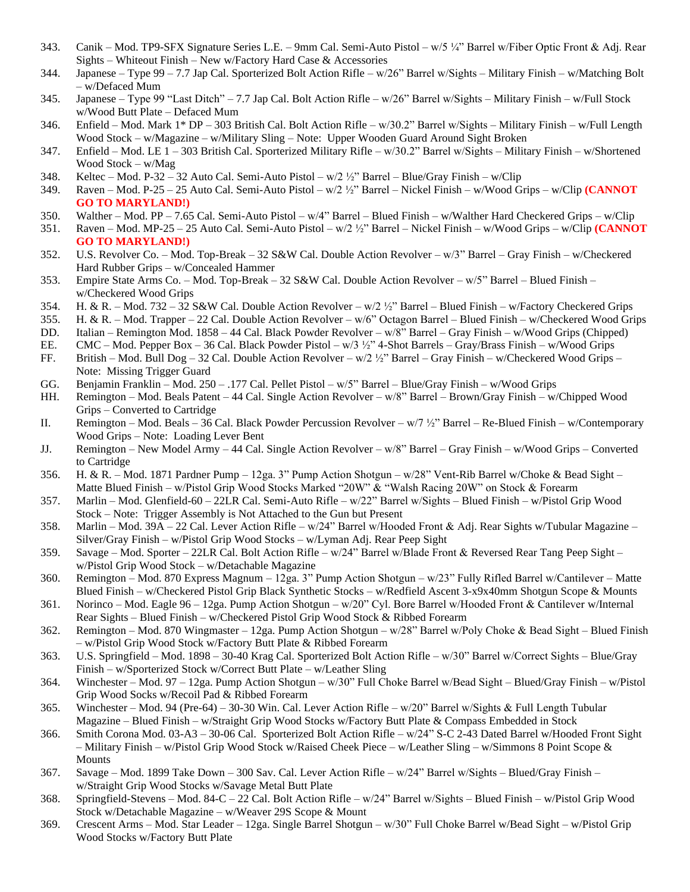- 343. Canik Mod. TP9-SFX Signature Series L.E. 9mm Cal. Semi-Auto Pistol w/5 ¼" Barrel w/Fiber Optic Front & Adj. Rear Sights – Whiteout Finish – New w/Factory Hard Case & Accessories
- 344. Japanese Type 99 7.7 Jap Cal. Sporterized Bolt Action Rifle w/26" Barrel w/Sights Military Finish w/Matching Bolt – w/Defaced Mum
- 345. Japanese Type 99 "Last Ditch" 7.7 Jap Cal. Bolt Action Rifle w/26" Barrel w/Sights Military Finish w/Full Stock w/Wood Butt Plate – Defaced Mum
- 346. Enfield Mod. Mark 1\* DP 303 British Cal. Bolt Action Rifle w/30.2" Barrel w/Sights Military Finish w/Full Length Wood Stock – w/Magazine – w/Military Sling – Note: Upper Wooden Guard Around Sight Broken
- 347. Enfield Mod. LE 1 303 British Cal. Sporterized Military Rifle w/30.2" Barrel w/Sights Military Finish w/Shortened Wood Stock – w/Mag
- 348. Keltec Mod. P-32 32 Auto Cal. Semi-Auto Pistol w/2 ½" Barrel Blue/Gray Finish w/Clip
- 349. Raven Mod. P-25 25 Auto Cal. Semi-Auto Pistol w/2 ½" Barrel Nickel Finish w/Wood Grips w/Clip **(CANNOT GO TO MARYLAND!)**
- 350. Walther Mod. PP 7.65 Cal. Semi-Auto Pistol w/4" Barrel Blued Finish w/Walther Hard Checkered Grips w/Clip
- 351. Raven Mod. MP-25 25 Auto Cal. Semi-Auto Pistol w/2 ½" Barrel Nickel Finish w/Wood Grips w/Clip **(CANNOT GO TO MARYLAND!)**
- 352. U.S. Revolver Co. Mod. Top-Break 32 S&W Cal. Double Action Revolver w/3" Barrel Gray Finish w/Checkered Hard Rubber Grips – w/Concealed Hammer
- 353. Empire State Arms Co. Mod. Top-Break 32 S&W Cal. Double Action Revolver w/5" Barrel Blued Finish w/Checkered Wood Grips
- 354. H. & R. Mod. 732 32 S&W Cal. Double Action Revolver w/2 ½" Barrel Blued Finish w/Factory Checkered Grips
- 355. H. & R. Mod. Trapper 22 Cal. Double Action Revolver w/6" Octagon Barrel Blued Finish w/Checkered Wood Grips
- DD. Italian Remington Mod. 1858 44 Cal. Black Powder Revolver w/8" Barrel Gray Finish w/Wood Grips (Chipped)
- EE. CMC Mod. Pepper Box 36 Cal. Black Powder Pistol w/3 ½" 4-Shot Barrels Gray/Brass Finish w/Wood Grips
- FF. British Mod. Bull Dog 32 Cal. Double Action Revolver w/2 ½" Barrel Gray Finish w/Checkered Wood Grips Note: Missing Trigger Guard
- GG. Benjamin Franklin Mod. 250 .177 Cal. Pellet Pistol w/5" Barrel Blue/Gray Finish w/Wood Grips
- HH. Remington Mod. Beals Patent 44 Cal. Single Action Revolver w/8" Barrel Brown/Gray Finish w/Chipped Wood Grips – Converted to Cartridge
- II. Remington Mod. Beals 36 Cal. Black Powder Percussion Revolver w/7 ½" Barrel Re-Blued Finish w/Contemporary Wood Grips – Note: Loading Lever Bent
- JJ. Remington New Model Army 44 Cal. Single Action Revolver w/8" Barrel Gray Finish w/Wood Grips Converted to Cartridge
- 356. H. & R. Mod. 1871 Pardner Pump 12ga. 3" Pump Action Shotgun w/28" Vent-Rib Barrel w/Choke & Bead Sight Matte Blued Finish – w/Pistol Grip Wood Stocks Marked "20W" & "Walsh Racing 20W" on Stock & Forearm
- 357. Marlin Mod. Glenfield-60 22LR Cal. Semi-Auto Rifle w/22" Barrel w/Sights Blued Finish w/Pistol Grip Wood Stock – Note: Trigger Assembly is Not Attached to the Gun but Present
- 358. Marlin Mod. 39A 22 Cal. Lever Action Rifle w/24" Barrel w/Hooded Front & Adj. Rear Sights w/Tubular Magazine Silver/Gray Finish – w/Pistol Grip Wood Stocks – w/Lyman Adj. Rear Peep Sight
- 359. Savage Mod. Sporter 22LR Cal. Bolt Action Rifle w/24" Barrel w/Blade Front & Reversed Rear Tang Peep Sight w/Pistol Grip Wood Stock – w/Detachable Magazine
- 360. Remington Mod. 870 Express Magnum 12ga. 3" Pump Action Shotgun w/23" Fully Rifled Barrel w/Cantilever Matte Blued Finish – w/Checkered Pistol Grip Black Synthetic Stocks – w/Redfield Ascent 3-x9x40mm Shotgun Scope & Mounts
- 361. Norinco Mod. Eagle 96 12ga. Pump Action Shotgun w/20" Cyl. Bore Barrel w/Hooded Front & Cantilever w/Internal Rear Sights – Blued Finish – w/Checkered Pistol Grip Wood Stock & Ribbed Forearm
- 362. Remington Mod. 870 Wingmaster 12ga. Pump Action Shotgun w/28" Barrel w/Poly Choke & Bead Sight Blued Finish – w/Pistol Grip Wood Stock w/Factory Butt Plate & Ribbed Forearm
- 363. U.S. Springfield Mod. 1898 30-40 Krag Cal. Sporterized Bolt Action Rifle w/30" Barrel w/Correct Sights Blue/Gray Finish – w/Sporterized Stock w/Correct Butt Plate – w/Leather Sling
- 364. Winchester Mod. 97 12ga. Pump Action Shotgun w/30" Full Choke Barrel w/Bead Sight Blued/Gray Finish w/Pistol Grip Wood Socks w/Recoil Pad & Ribbed Forearm
- 365. Winchester Mod. 94 (Pre-64) 30-30 Win. Cal. Lever Action Rifle w/20" Barrel w/Sights & Full Length Tubular Magazine – Blued Finish – w/Straight Grip Wood Stocks w/Factory Butt Plate & Compass Embedded in Stock
- 366. Smith Corona Mod. 03-A3 30-06 Cal. Sporterized Bolt Action Rifle w/24" S-C 2-43 Dated Barrel w/Hooded Front Sight – Military Finish – w/Pistol Grip Wood Stock w/Raised Cheek Piece – w/Leather Sling – w/Simmons 8 Point Scope & Mounts
- 367. Savage Mod. 1899 Take Down 300 Sav. Cal. Lever Action Rifle w/24" Barrel w/Sights Blued/Gray Finish w/Straight Grip Wood Stocks w/Savage Metal Butt Plate
- 368. Springfield-Stevens Mod. 84-C 22 Cal. Bolt Action Rifle w/24" Barrel w/Sights Blued Finish w/Pistol Grip Wood Stock w/Detachable Magazine – w/Weaver 29S Scope & Mount
- 369. Crescent Arms Mod. Star Leader 12ga. Single Barrel Shotgun w/30" Full Choke Barrel w/Bead Sight w/Pistol Grip Wood Stocks w/Factory Butt Plate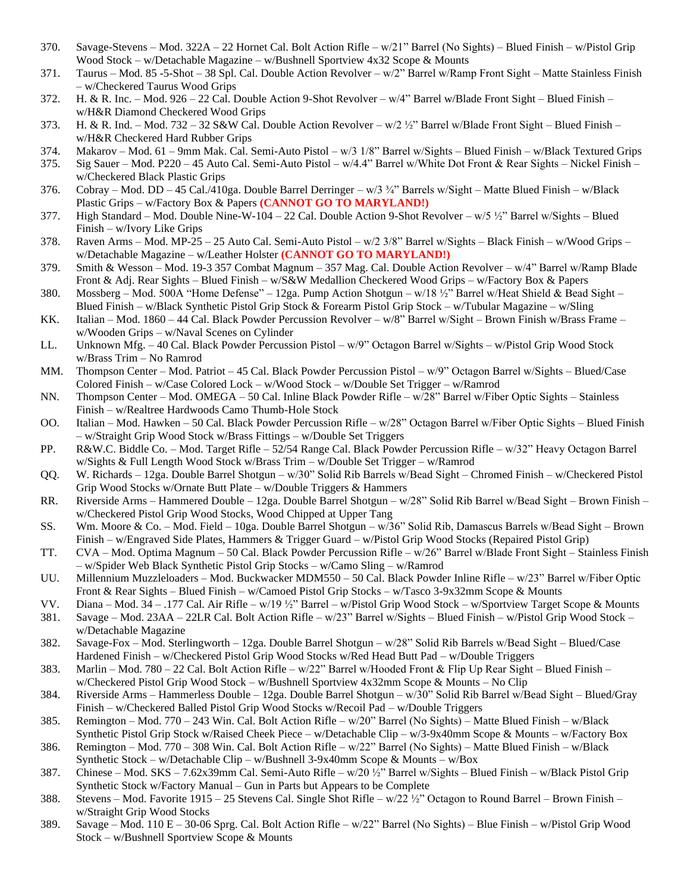- 370. Savage-Stevens Mod. 322A 22 Hornet Cal. Bolt Action Rifle w/21" Barrel (No Sights) Blued Finish w/Pistol Grip Wood Stock – w/Detachable Magazine – w/Bushnell Sportview 4x32 Scope & Mounts
- 371. Taurus Mod. 85 -5-Shot 38 Spl. Cal. Double Action Revolver w/2" Barrel w/Ramp Front Sight Matte Stainless Finish – w/Checkered Taurus Wood Grips
- 372. H. & R. Inc. Mod. 926 22 Cal. Double Action 9-Shot Revolver w/4" Barrel w/Blade Front Sight Blued Finish w/H&R Diamond Checkered Wood Grips
- 373. H. & R. Ind. Mod. 732 32 S&W Cal. Double Action Revolver w/2 ½" Barrel w/Blade Front Sight Blued Finish w/H&R Checkered Hard Rubber Grips
- 374. Makarov Mod. 61 9mm Mak. Cal. Semi-Auto Pistol w/3 1/8" Barrel w/Sights Blued Finish w/Black Textured Grips
- 375. Sig Sauer Mod. P220 45 Auto Cal. Semi-Auto Pistol w/4.4" Barrel w/White Dot Front & Rear Sights Nickel Finish w/Checkered Black Plastic Grips
- 376. Cobray Mod. DD 45 Cal./410ga. Double Barrel Derringer w/3  $\frac{3}{4}$ " Barrels w/Sight Matte Blued Finish w/Black Plastic Grips – w/Factory Box & Papers **(CANNOT GO TO MARYLAND!)**
- 377. High Standard Mod. Double Nine-W-104 22 Cal. Double Action 9-Shot Revolver w/5 ½" Barrel w/Sights Blued Finish – w/Ivory Like Grips
- 378. Raven Arms Mod. MP-25 25 Auto Cal. Semi-Auto Pistol w/2 3/8" Barrel w/Sights Black Finish w/Wood Grips w/Detachable Magazine – w/Leather Holster **(CANNOT GO TO MARYLAND!)**
- 379. Smith & Wesson Mod. 19-3 357 Combat Magnum 357 Mag. Cal. Double Action Revolver w/4" Barrel w/Ramp Blade Front & Adj. Rear Sights – Blued Finish – w/S&W Medallion Checkered Wood Grips – w/Factory Box & Papers
- 380. Mossberg Mod. 500A "Home Defense" 12ga. Pump Action Shotgun w/18 ½" Barrel w/Heat Shield & Bead Sight Blued Finish – w/Black Synthetic Pistol Grip Stock & Forearm Pistol Grip Stock – w/Tubular Magazine – w/Sling
- KK. Italian Mod. 1860 44 Cal. Black Powder Percussion Revolver w/8" Barrel w/Sight Brown Finish w/Brass Frame w/Wooden Grips – w/Naval Scenes on Cylinder
- LL. Unknown Mfg. 40 Cal. Black Powder Percussion Pistol w/9" Octagon Barrel w/Sights w/Pistol Grip Wood Stock w/Brass Trim – No Ramrod
- MM. Thompson Center Mod. Patriot 45 Cal. Black Powder Percussion Pistol w/9" Octagon Barrel w/Sights Blued/Case Colored Finish – w/Case Colored Lock – w/Wood Stock – w/Double Set Trigger – w/Ramrod
- NN. Thompson Center Mod. OMEGA 50 Cal. Inline Black Powder Rifle w/28" Barrel w/Fiber Optic Sights Stainless Finish – w/Realtree Hardwoods Camo Thumb-Hole Stock
- OO. Italian Mod. Hawken 50 Cal. Black Powder Percussion Rifle w/28" Octagon Barrel w/Fiber Optic Sights Blued Finish – w/Straight Grip Wood Stock w/Brass Fittings – w/Double Set Triggers
- PP. R&W.C. Biddle Co. Mod. Target Rifle 52/54 Range Cal. Black Powder Percussion Rifle w/32" Heavy Octagon Barrel w/Sights & Full Length Wood Stock w/Brass Trim – w/Double Set Trigger – w/Ramrod
- QQ. W. Richards 12ga. Double Barrel Shotgun w/30" Solid Rib Barrels w/Bead Sight Chromed Finish w/Checkered Pistol Grip Wood Stocks w/Ornate Butt Plate – w/Double Triggers & Hammers
- RR. Riverside Arms Hammered Double 12ga. Double Barrel Shotgun w/28" Solid Rib Barrel w/Bead Sight Brown Finish w/Checkered Pistol Grip Wood Stocks, Wood Chipped at Upper Tang
- SS. Wm. Moore & Co. Mod. Field 10ga. Double Barrel Shotgun w/36" Solid Rib, Damascus Barrels w/Bead Sight Brown Finish – w/Engraved Side Plates, Hammers & Trigger Guard – w/Pistol Grip Wood Stocks (Repaired Pistol Grip)
- TT. CVA Mod. Optima Magnum 50 Cal. Black Powder Percussion Rifle w/26" Barrel w/Blade Front Sight Stainless Finish – w/Spider Web Black Synthetic Pistol Grip Stocks – w/Camo Sling – w/Ramrod
- UU. Millennium Muzzleloaders Mod. Buckwacker MDM550 50 Cal. Black Powder Inline Rifle w/23" Barrel w/Fiber Optic Front & Rear Sights – Blued Finish – w/Camoed Pistol Grip Stocks – w/Tasco 3-9x32mm Scope & Mounts
- VV. Diana Mod. 34 .177 Cal. Air Rifle w/19 ½" Barrel w/Pistol Grip Wood Stock w/Sportview Target Scope & Mounts
- 381. Savage Mod. 23AA 22LR Cal. Bolt Action Rifle w/23" Barrel w/Sights Blued Finish w/Pistol Grip Wood Stock w/Detachable Magazine
- 382. Savage-Fox Mod. Sterlingworth 12ga. Double Barrel Shotgun w/28" Solid Rib Barrels w/Bead Sight Blued/Case Hardened Finish – w/Checkered Pistol Grip Wood Stocks w/Red Head Butt Pad – w/Double Triggers
- 383. Marlin Mod. 780 22 Cal. Bolt Action Rifle w/22" Barrel w/Hooded Front & Flip Up Rear Sight Blued Finish w/Checkered Pistol Grip Wood Stock – w/Bushnell Sportview 4x32mm Scope & Mounts – No Clip
- 384. Riverside Arms Hammerless Double 12ga. Double Barrel Shotgun w/30" Solid Rib Barrel w/Bead Sight Blued/Gray Finish – w/Checkered Balled Pistol Grip Wood Stocks w/Recoil Pad – w/Double Triggers
- 385. Remington Mod. 770 243 Win. Cal. Bolt Action Rifle w/20" Barrel (No Sights) Matte Blued Finish w/Black Synthetic Pistol Grip Stock w/Raised Cheek Piece – w/Detachable Clip – w/3-9x40mm Scope & Mounts – w/Factory Box
- 386. Remington Mod. 770 308 Win. Cal. Bolt Action Rifle w/22" Barrel (No Sights) Matte Blued Finish w/Black Synthetic Stock – w/Detachable Clip – w/Bushnell 3-9x40mm Scope & Mounts – w/Box
- 387. Chinese Mod. SKS 7.62x39mm Cal. Semi-Auto Rifle w/20 ½" Barrel w/Sights Blued Finish w/Black Pistol Grip Synthetic Stock w/Factory Manual – Gun in Parts but Appears to be Complete
- 388. Stevens Mod. Favorite 1915 25 Stevens Cal. Single Shot Rifle w/22 ½" Octagon to Round Barrel Brown Finish w/Straight Grip Wood Stocks
- 389. Savage Mod. 110 E 30-06 Sprg. Cal. Bolt Action Rifle w/22" Barrel (No Sights) Blue Finish w/Pistol Grip Wood Stock – w/Bushnell Sportview Scope & Mounts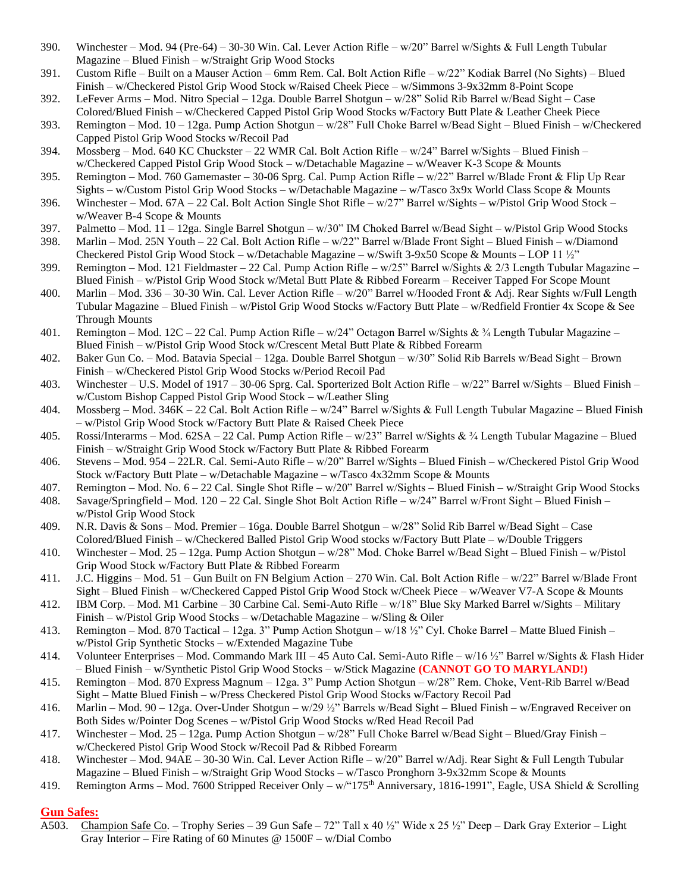- 390. Winchester Mod. 94 (Pre-64) 30-30 Win. Cal. Lever Action Rifle w/20" Barrel w/Sights & Full Length Tubular Magazine – Blued Finish – w/Straight Grip Wood Stocks
- 391. Custom Rifle Built on a Mauser Action 6mm Rem. Cal. Bolt Action Rifle w/22" Kodiak Barrel (No Sights) Blued Finish – w/Checkered Pistol Grip Wood Stock w/Raised Cheek Piece – w/Simmons 3-9x32mm 8-Point Scope
- 392. LeFever Arms Mod. Nitro Special 12ga. Double Barrel Shotgun w/28" Solid Rib Barrel w/Bead Sight Case Colored/Blued Finish – w/Checkered Capped Pistol Grip Wood Stocks w/Factory Butt Plate & Leather Cheek Piece
- 393. Remington Mod. 10 12ga. Pump Action Shotgun w/28" Full Choke Barrel w/Bead Sight Blued Finish w/Checkered Capped Pistol Grip Wood Stocks w/Recoil Pad
- 394. Mossberg Mod. 640 KC Chuckster 22 WMR Cal. Bolt Action Rifle w/24" Barrel w/Sights Blued Finish w/Checkered Capped Pistol Grip Wood Stock – w/Detachable Magazine – w/Weaver K-3 Scope & Mounts
- 395. Remington Mod. 760 Gamemaster 30-06 Sprg. Cal. Pump Action Rifle w/22" Barrel w/Blade Front & Flip Up Rear Sights – w/Custom Pistol Grip Wood Stocks – w/Detachable Magazine – w/Tasco 3x9x World Class Scope & Mounts
- 396. Winchester Mod. 67A 22 Cal. Bolt Action Single Shot Rifle w/27" Barrel w/Sights w/Pistol Grip Wood Stock w/Weaver B-4 Scope & Mounts
- 397. Palmetto Mod. 11 12ga. Single Barrel Shotgun w/30" IM Choked Barrel w/Bead Sight w/Pistol Grip Wood Stocks 398. Marlin – Mod. 25N Youth – 22 Cal. Bolt Action Rifle – w/22" Barrel w/Blade Front Sight – Blued Finish – w/Diamond
- Checkered Pistol Grip Wood Stock w/Detachable Magazine w/Swift 3-9x50 Scope & Mounts LOP 11 ½" 399. Remington – Mod. 121 Fieldmaster – 22 Cal. Pump Action Rifle –  $w/25$ " Barrel w/Sights & 2/3 Length Tubular Magazine –
- Blued Finish w/Pistol Grip Wood Stock w/Metal Butt Plate & Ribbed Forearm Receiver Tapped For Scope Mount 400. Marlin – Mod. 336 – 30-30 Win. Cal. Lever Action Rifle – w/20" Barrel w/Hooded Front & Adj. Rear Sights w/Full Length Tubular Magazine – Blued Finish – w/Pistol Grip Wood Stocks w/Factory Butt Plate – w/Redfield Frontier 4x Scope & See

Through Mounts

- 401. Remington Mod. 12C 22 Cal. Pump Action Rifle w/24" Octagon Barrel w/Sights & ¾ Length Tubular Magazine Blued Finish – w/Pistol Grip Wood Stock w/Crescent Metal Butt Plate & Ribbed Forearm
- 402. Baker Gun Co. Mod. Batavia Special 12ga. Double Barrel Shotgun w/30" Solid Rib Barrels w/Bead Sight Brown Finish – w/Checkered Pistol Grip Wood Stocks w/Period Recoil Pad
- 403. Winchester U.S. Model of 1917 30-06 Sprg. Cal. Sporterized Bolt Action Rifle w/22" Barrel w/Sights Blued Finish w/Custom Bishop Capped Pistol Grip Wood Stock – w/Leather Sling
- 404. Mossberg Mod. 346K 22 Cal. Bolt Action Rifle w/24" Barrel w/Sights & Full Length Tubular Magazine Blued Finish – w/Pistol Grip Wood Stock w/Factory Butt Plate & Raised Cheek Piece
- 405. Rossi/Interarms Mod. 62SA 22 Cal. Pump Action Rifle w/23" Barrel w/Sights & ¾ Length Tubular Magazine Blued Finish – w/Straight Grip Wood Stock w/Factory Butt Plate & Ribbed Forearm
- 406. Stevens Mod. 954 22LR. Cal. Semi-Auto Rifle w/20" Barrel w/Sights Blued Finish w/Checkered Pistol Grip Wood Stock w/Factory Butt Plate – w/Detachable Magazine – w/Tasco 4x32mm Scope & Mounts
- 407. Remington Mod. No. 6 22 Cal. Single Shot Rifle w/20" Barrel w/Sights Blued Finish w/Straight Grip Wood Stocks
- 408. Savage/Springfield Mod. 120 22 Cal. Single Shot Bolt Action Rifle w/24" Barrel w/Front Sight Blued Finish w/Pistol Grip Wood Stock
- 409. N.R. Davis & Sons Mod. Premier 16ga. Double Barrel Shotgun w/28" Solid Rib Barrel w/Bead Sight Case Colored/Blued Finish – w/Checkered Balled Pistol Grip Wood stocks w/Factory Butt Plate – w/Double Triggers
- 410. Winchester Mod. 25 12ga. Pump Action Shotgun w/28" Mod. Choke Barrel w/Bead Sight Blued Finish w/Pistol Grip Wood Stock w/Factory Butt Plate & Ribbed Forearm
- 411. J.C. Higgins Mod. 51 Gun Built on FN Belgium Action 270 Win. Cal. Bolt Action Rifle w/22" Barrel w/Blade Front Sight – Blued Finish – w/Checkered Capped Pistol Grip Wood Stock w/Cheek Piece – w/Weaver V7-A Scope & Mounts
- 412. IBM Corp. Mod. M1 Carbine 30 Carbine Cal. Semi-Auto Rifle w/18" Blue Sky Marked Barrel w/Sights Military Finish – w/Pistol Grip Wood Stocks – w/Detachable Magazine – w/Sling & Oiler
- 413. Remington Mod. 870 Tactical 12ga. 3" Pump Action Shotgun w/18 ½" Cyl. Choke Barrel Matte Blued Finish w/Pistol Grip Synthetic Stocks – w/Extended Magazine Tube
- 414. Volunteer Enterprises Mod. Commando Mark III 45 Auto Cal. Semi-Auto Rifle w/16 ½" Barrel w/Sights & Flash Hider – Blued Finish – w/Synthetic Pistol Grip Wood Stocks – w/Stick Magazine **(CANNOT GO TO MARYLAND!)**
- 415. Remington Mod. 870 Express Magnum 12ga. 3" Pump Action Shotgun w/28" Rem. Choke, Vent-Rib Barrel w/Bead Sight – Matte Blued Finish – w/Press Checkered Pistol Grip Wood Stocks w/Factory Recoil Pad
- 416. Marlin Mod. 90 12ga. Over-Under Shotgun w/29 ½" Barrels w/Bead Sight Blued Finish w/Engraved Receiver on Both Sides w/Pointer Dog Scenes – w/Pistol Grip Wood Stocks w/Red Head Recoil Pad
- 417. Winchester Mod. 25 12ga. Pump Action Shotgun w/28" Full Choke Barrel w/Bead Sight Blued/Gray Finish w/Checkered Pistol Grip Wood Stock w/Recoil Pad & Ribbed Forearm
- 418. Winchester Mod. 94AE 30-30 Win. Cal. Lever Action Rifle w/20" Barrel w/Adj. Rear Sight & Full Length Tubular Magazine – Blued Finish – w/Straight Grip Wood Stocks – w/Tasco Pronghorn 3-9x32mm Scope & Mounts
- 419. Remington Arms Mod. 7600 Stripped Receiver Only w/\*175<sup>th</sup> Anniversary, 1816-1991", Eagle, USA Shield & Scrolling

### **Gun Safes:**

A503. Champion Safe Co. – Trophy Series – 39 Gun Safe – 72" Tall x 40 ½" Wide x 25 ½" Deep – Dark Gray Exterior – Light Gray Interior – Fire Rating of 60 Minutes @ 1500F – w/Dial Combo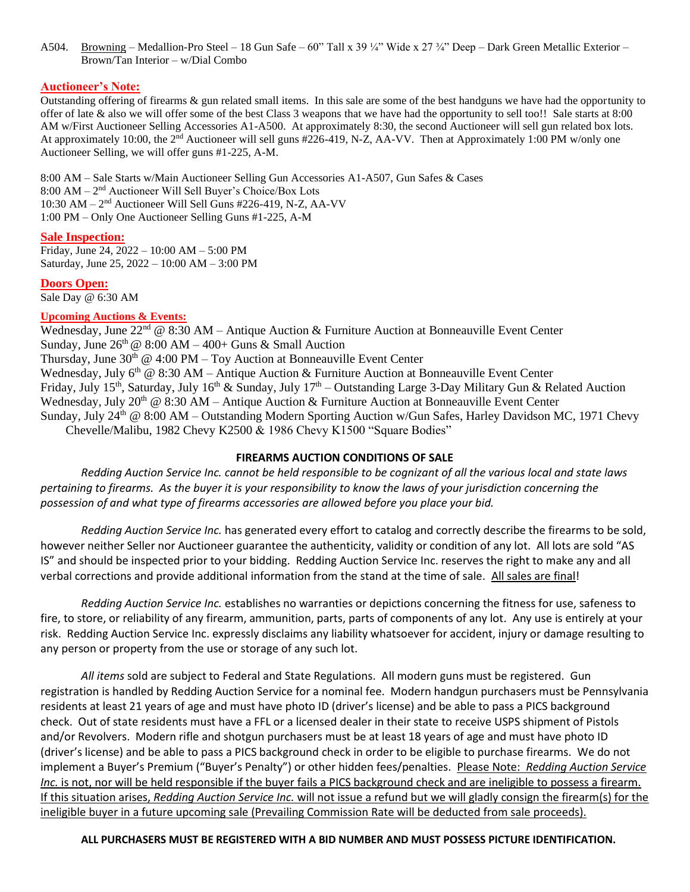A504. Browning – Medallion-Pro Steel – 18 Gun Safe – 60" Tall x 39 ¼" Wide x 27 ¼" Deep – Dark Green Metallic Exterior – Brown/Tan Interior – w/Dial Combo

#### **Auctioneer's Note:**

Outstanding offering of firearms & gun related small items. In this sale are some of the best handguns we have had the opportunity to offer of late & also we will offer some of the best Class 3 weapons that we have had the opportunity to sell too!! Sale starts at 8:00 AM w/First Auctioneer Selling Accessories A1-A500. At approximately 8:30, the second Auctioneer will sell gun related box lots. At approximately 10:00, the  $2<sup>nd</sup>$  Auctioneer will sell guns #226-419, N-Z, AA-VV. Then at Approximately 1:00 PM w/only one Auctioneer Selling, we will offer guns #1-225, A-M.

8:00 AM – Sale Starts w/Main Auctioneer Selling Gun Accessories A1-A507, Gun Safes & Cases 8:00 AM - 2<sup>nd</sup> Auctioneer Will Sell Buyer's Choice/Box Lots 10:30 AM - 2<sup>nd</sup> Auctioneer Will Sell Guns #226-419, N-Z, AA-VV 1:00 PM – Only One Auctioneer Selling Guns #1-225, A-M

#### **Sale Inspection:**

Friday, June 24, 2022 – 10:00 AM – 5:00 PM Saturday, June 25, 2022 – 10:00 AM – 3:00 PM

**Doors Open:**

Sale Day @ 6:30 AM

#### **Upcoming Auctions & Events:**

Wednesday, June  $22<sup>nd</sup>$  @ 8:30 AM – Antique Auction & Furniture Auction at Bonneauville Event Center Sunday, June  $26<sup>th</sup>$  @ 8:00 AM – 400+ Guns & Small Auction Thursday, June  $30<sup>th</sup>$  @ 4:00 PM – Toy Auction at Bonneauville Event Center Wednesday, July  $6<sup>th</sup>$  @ 8:30 AM – Antique Auction & Furniture Auction at Bonneauville Event Center Friday, July 15<sup>th</sup>, Saturday, July 16<sup>th</sup> & Sunday, July 17<sup>th</sup> – Outstanding Large 3-Day Military Gun & Related Auction Wednesday, July  $20^{th}$  @ 8:30 AM – Antique Auction & Furniture Auction at Bonneauville Event Center Sunday, July 24<sup>th</sup> @ 8:00 AM – Outstanding Modern Sporting Auction w/Gun Safes, Harley Davidson MC, 1971 Chevy Chevelle/Malibu, 1982 Chevy K2500 & 1986 Chevy K1500 "Square Bodies"

#### **FIREARMS AUCTION CONDITIONS OF SALE**

*Redding Auction Service Inc. cannot be held responsible to be cognizant of all the various local and state laws pertaining to firearms. As the buyer it is your responsibility to know the laws of your jurisdiction concerning the possession of and what type of firearms accessories are allowed before you place your bid.*

*Redding Auction Service Inc.* has generated every effort to catalog and correctly describe the firearms to be sold, however neither Seller nor Auctioneer guarantee the authenticity, validity or condition of any lot. All lots are sold "AS IS" and should be inspected prior to your bidding. Redding Auction Service Inc. reserves the right to make any and all verbal corrections and provide additional information from the stand at the time of sale. All sales are final!

*Redding Auction Service Inc.* establishes no warranties or depictions concerning the fitness for use, safeness to fire, to store, or reliability of any firearm, ammunition, parts, parts of components of any lot. Any use is entirely at your risk. Redding Auction Service Inc. expressly disclaims any liability whatsoever for accident, injury or damage resulting to any person or property from the use or storage of any such lot.

*All items* sold are subject to Federal and State Regulations. All modern guns must be registered. Gun registration is handled by Redding Auction Service for a nominal fee. Modern handgun purchasers must be Pennsylvania residents at least 21 years of age and must have photo ID (driver's license) and be able to pass a PICS background check. Out of state residents must have a FFL or a licensed dealer in their state to receive USPS shipment of Pistols and/or Revolvers. Modern rifle and shotgun purchasers must be at least 18 years of age and must have photo ID (driver's license) and be able to pass a PICS background check in order to be eligible to purchase firearms. We do not implement a Buyer's Premium ("Buyer's Penalty") or other hidden fees/penalties. Please Note: Redding Auction Service *Inc.* is not, nor will be held responsible if the buyer fails a PICS background check and are ineligible to possess a firearm. If this situation arises, *Redding Auction Service Inc.* will not issue a refund but we will gladly consign the firearm(s) for the ineligible buyer in a future upcoming sale (Prevailing Commission Rate will be deducted from sale proceeds).

#### **ALL PURCHASERS MUST BE REGISTERED WITH A BID NUMBER AND MUST POSSESS PICTURE IDENTIFICATION.**